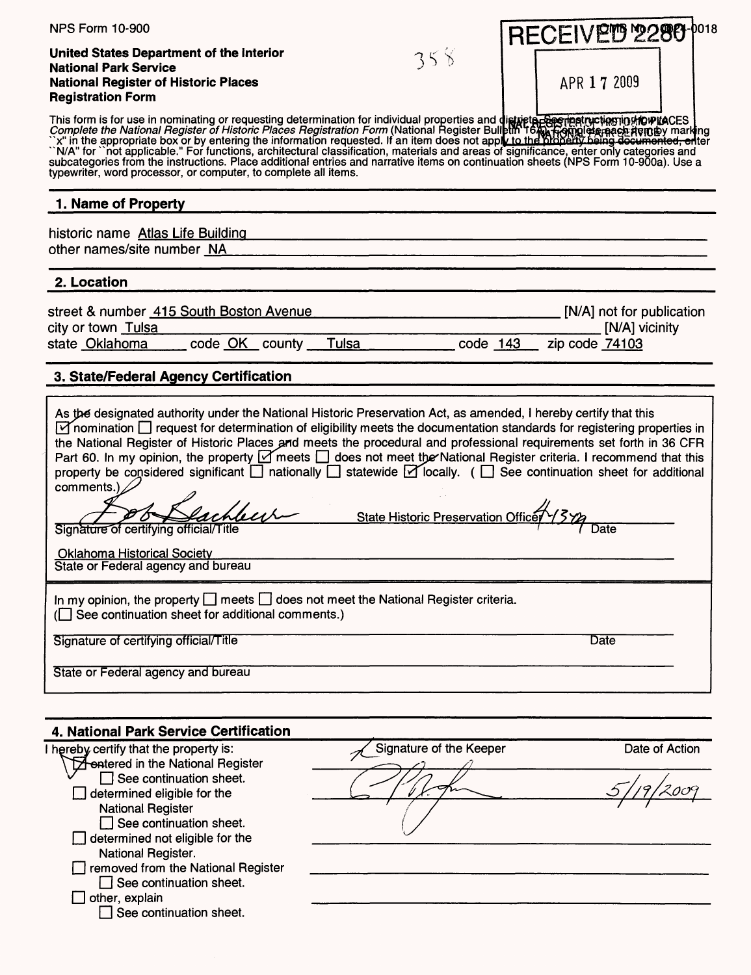| <b>NPS Form 10-900</b>                                                                                                                                                                                                                                                                                                                                                                                                                                                                                                                                                                  |                |                                           |                         | RECEIVETS 2280 | DO18                      |
|-----------------------------------------------------------------------------------------------------------------------------------------------------------------------------------------------------------------------------------------------------------------------------------------------------------------------------------------------------------------------------------------------------------------------------------------------------------------------------------------------------------------------------------------------------------------------------------------|----------------|-------------------------------------------|-------------------------|----------------|---------------------------|
| United States Department of the Interior                                                                                                                                                                                                                                                                                                                                                                                                                                                                                                                                                |                |                                           |                         |                |                           |
| <b>National Park Service</b>                                                                                                                                                                                                                                                                                                                                                                                                                                                                                                                                                            |                | 358                                       |                         |                |                           |
| <b>National Register of Historic Places</b>                                                                                                                                                                                                                                                                                                                                                                                                                                                                                                                                             |                |                                           |                         | APR 17 2009    |                           |
| <b>Registration Form</b>                                                                                                                                                                                                                                                                                                                                                                                                                                                                                                                                                                |                |                                           |                         |                |                           |
| This form is for use in nominating or requesting determination for individual properties and districts exercisive the National Register of Historic Places Registration Form (National Register Bulletin 16%) Remotive the Nat<br>"N/A" for "not applicable." For functions, architectural classification, materials and areas of significance, enter only categories and<br>subcategories from the instructions. Place additional entries and narrative items on continuation sheets (NPS Form 10-900a). Use a<br>typewriter, word processor, or computer, to complete all items.      |                |                                           |                         |                |                           |
| 1. Name of Property                                                                                                                                                                                                                                                                                                                                                                                                                                                                                                                                                                     |                |                                           |                         |                |                           |
| historic name Atlas Life Building                                                                                                                                                                                                                                                                                                                                                                                                                                                                                                                                                       |                |                                           |                         |                |                           |
| other names/site number NA                                                                                                                                                                                                                                                                                                                                                                                                                                                                                                                                                              |                |                                           |                         |                |                           |
| 2. Location                                                                                                                                                                                                                                                                                                                                                                                                                                                                                                                                                                             |                |                                           |                         |                |                           |
|                                                                                                                                                                                                                                                                                                                                                                                                                                                                                                                                                                                         |                |                                           |                         |                |                           |
| street & number 415 South Boston Avenue                                                                                                                                                                                                                                                                                                                                                                                                                                                                                                                                                 |                |                                           |                         |                | [N/A] not for publication |
| city or town Tulsa                                                                                                                                                                                                                                                                                                                                                                                                                                                                                                                                                                      |                |                                           |                         |                | [N/A] vicinity            |
| state Oklahoma                                                                                                                                                                                                                                                                                                                                                                                                                                                                                                                                                                          | code OK county | Tulsa                                     | $code$ 143              | zip code 74103 |                           |
| 3. State/Federal Agency Certification                                                                                                                                                                                                                                                                                                                                                                                                                                                                                                                                                   |                |                                           |                         |                |                           |
| Part 60. In my opinion, the property $\triangledown$ meets $\Box$ does not meet the National Register criteria. I recommend that this<br>property be considered significant nationally Statewide Y locally. ( See continuation sheet for additional<br>comments.)<br>Signature of certifying official/Title<br><b>Oklahoma Historical Society</b><br>State or Federal agency and bureau<br>In my opinion, the property $\Box$ meets $\Box$ does not meet the National Register criteria.<br>(See continuation sheet for additional comments.)<br>Signature of certifying official/Title |                | <b>State Historic Preservation Office</b> |                         | Date<br>Date   |                           |
|                                                                                                                                                                                                                                                                                                                                                                                                                                                                                                                                                                                         |                |                                           |                         |                |                           |
| State or Federal agency and bureau                                                                                                                                                                                                                                                                                                                                                                                                                                                                                                                                                      |                |                                           |                         |                |                           |
| 4. National Park Service Certification                                                                                                                                                                                                                                                                                                                                                                                                                                                                                                                                                  |                |                                           |                         |                |                           |
| I hereby certify that the property is:                                                                                                                                                                                                                                                                                                                                                                                                                                                                                                                                                  |                |                                           | Signature of the Keeper |                | Date of Action            |
| <b>A</b> entered in the National Register                                                                                                                                                                                                                                                                                                                                                                                                                                                                                                                                               |                |                                           |                         |                |                           |
| See continuation sheet.                                                                                                                                                                                                                                                                                                                                                                                                                                                                                                                                                                 |                |                                           |                         |                |                           |
| determined eligible for the                                                                                                                                                                                                                                                                                                                                                                                                                                                                                                                                                             |                |                                           |                         |                |                           |
| <b>National Register</b><br>See continuation sheet.                                                                                                                                                                                                                                                                                                                                                                                                                                                                                                                                     |                |                                           |                         |                |                           |
| determined not eligible for the                                                                                                                                                                                                                                                                                                                                                                                                                                                                                                                                                         |                |                                           |                         |                |                           |
| National Register.                                                                                                                                                                                                                                                                                                                                                                                                                                                                                                                                                                      |                |                                           |                         |                |                           |
| removed from the National Register                                                                                                                                                                                                                                                                                                                                                                                                                                                                                                                                                      |                |                                           |                         |                |                           |
| See continuation sheet.                                                                                                                                                                                                                                                                                                                                                                                                                                                                                                                                                                 |                |                                           |                         |                |                           |
| other, explain<br>See continuation sheet.                                                                                                                                                                                                                                                                                                                                                                                                                                                                                                                                               |                |                                           |                         |                |                           |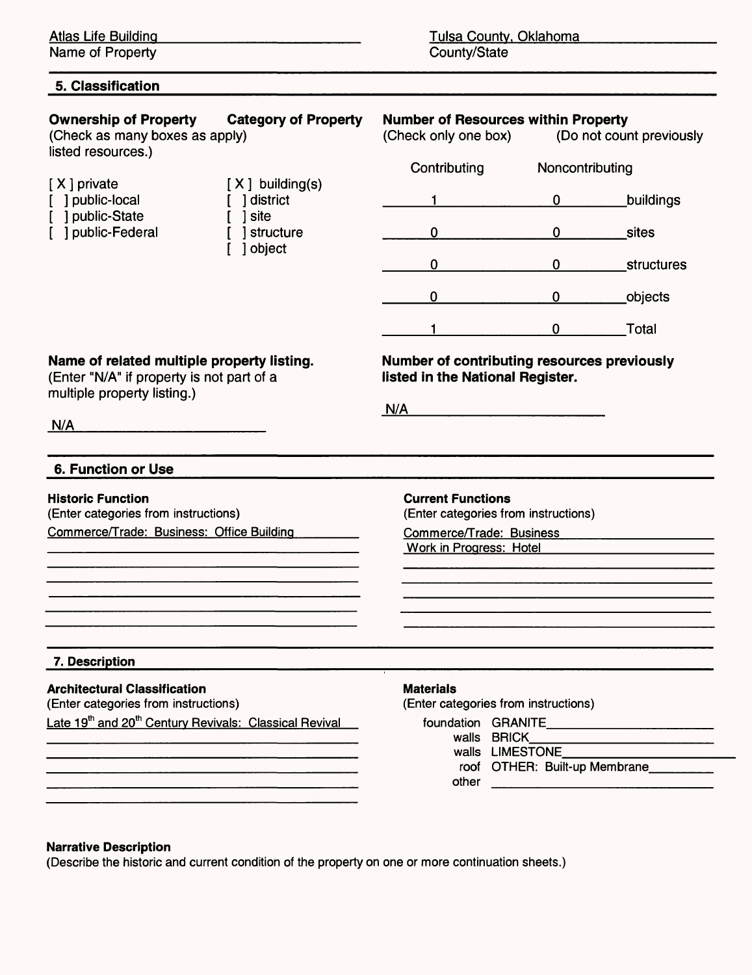Name of Property

| <b>Category of Property</b><br><b>Ownership of Property</b><br>(Check as many boxes as apply)<br>listed resources.)    |                                                                                | <b>Number of Resources within Property</b><br>(Check only one box)<br>(Do not count previously |             |                                             |  |
|------------------------------------------------------------------------------------------------------------------------|--------------------------------------------------------------------------------|------------------------------------------------------------------------------------------------|-------------|---------------------------------------------|--|
|                                                                                                                        |                                                                                | Contributing                                                                                   |             | Noncontributing                             |  |
| [X] private<br>] public-local<br>public-State<br>public-Federal                                                        | $[X]$ building(s)<br>1 district<br>site                                        |                                                                                                | $\mathbf 0$ | buildings                                   |  |
|                                                                                                                        | structure<br>] object                                                          | 0                                                                                              | 0           | sites                                       |  |
|                                                                                                                        |                                                                                | 0                                                                                              | $\mathbf 0$ | structures                                  |  |
|                                                                                                                        |                                                                                | 0                                                                                              | $\mathbf 0$ | objects                                     |  |
|                                                                                                                        |                                                                                | 1                                                                                              | 0           | Total                                       |  |
| Name of related multiple property listing.<br>(Enter "N/A" if property is not part of a<br>multiple property listing.) |                                                                                | listed in the National Register.                                                               |             | Number of contributing resources previously |  |
|                                                                                                                        |                                                                                | N/A                                                                                            |             |                                             |  |
|                                                                                                                        |                                                                                |                                                                                                |             |                                             |  |
| N/A                                                                                                                    |                                                                                |                                                                                                |             |                                             |  |
| 6. Function or Use                                                                                                     |                                                                                |                                                                                                |             |                                             |  |
|                                                                                                                        |                                                                                | <b>Current Functions</b>                                                                       |             |                                             |  |
| (Enter categories from instructions)                                                                                   |                                                                                | (Enter categories from instructions)<br>Commerce/Trade: Business                               |             |                                             |  |
| <b>Historic Function</b><br>Commerce/Trade: Business: Office Building                                                  |                                                                                | Work in Progress: Hotel                                                                        |             |                                             |  |
|                                                                                                                        |                                                                                |                                                                                                |             |                                             |  |
|                                                                                                                        |                                                                                |                                                                                                |             |                                             |  |
|                                                                                                                        |                                                                                |                                                                                                |             |                                             |  |
| 7. Description                                                                                                         |                                                                                |                                                                                                |             |                                             |  |
| <b>Architectural Classification</b><br>(Enter categories from instructions)                                            |                                                                                | <b>Materials</b><br>(Enter categories from instructions)                                       |             |                                             |  |
|                                                                                                                        | Late 19 <sup>th</sup> and 20 <sup>th</sup> Century Revivals: Classical Revival |                                                                                                | walls BRICK | foundation GRANITE                          |  |

#### **Narrative Description**

(Describe the historic and current condition of the property on one or more continuation sheets.)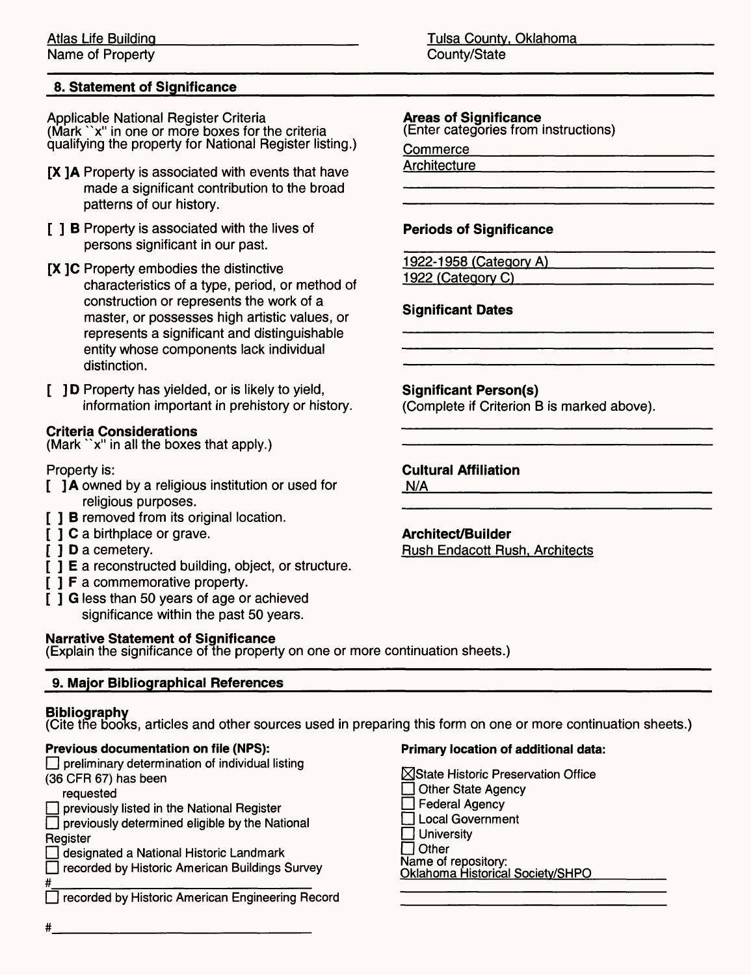### **8. Statement of Significance**

Applicable National Register Criteria (Mark "x" in one or more boxes for the criteria qualifying the property for National Register listing.)

- [X ] A Property is associated with events that have made a significant contribution to the broad patterns of our history.
- [ ] **B** Property is associated with the lives of persons significant in our past.
- **[X** ]C Property embodies the distinctive characteristics of a type, period, or method of construction or represents the work of a master, or possesses high artistic values, or represents a significant and distinguishable entity whose components lack individual distinction.
- [ ] D Property has yielded, or is likely to yield, information important in prehistory or history.

#### **Criteria Considerations**

(Mark "x" in all the boxes that apply.)

Property is:

- [ ] A owned by a religious institution or used for religious purposes.
- [ ] **B** removed from its original location.
- [ ] C a birthplace or grave.
- [ ] **D** a cemetery.
- [ ] **E** a reconstructed building, object, or structure.
- [ ] **F** a commemorative property.
- [ ] G less than 50 years of age or achieved significance within the past 50 years.

#### **Narrative Statement of Significance**

(Explain the significance of the property on one or more continuation sheets.)

#### **9. Major Bibliographical References\_\_\_\_\_\_\_\_\_\_\_\_\_\_\_\_\_\_\_\_\_\_\_\_\_\_\_\_\_\_\_\_\_\_\_\_**

#### **Bibliography**

(Cite the books, articles and other sources used in preparing this form on one or more continuation sheets.)

#### **Previous documentation on file (NPS):**

 $\Box$  preliminary determination of individual listing (36 CFR 67) has been

#### requested

 $\Box$  previously listed in the National Register

 $\Box$  previously determined eligible by the National **Register** 

 $\Box$  designated a National Historic Landmark

 $\Box$  recorded by Historic American Buildings Survey

#\_\_\_\_\_\_\_\_\_\_\_\_\_\_\_\_\_\_\_\_\_\_\_\_\_ D recorded by Historic American Engineering Record

Atlas Life Building Tulsa County, Oklahoma Name of Property **County** County/State

#### **Areas of Significance**

(Enter categories from instructions)

Commerce

**Architecture** 

#### **Periods of Significance**

1922-1958 (Category A) 1922 (Category C)

#### **Significant Dates**

#### **Significant Person(s)**

(Complete if Criterion B is marked above).

#### **Cultural Affiliation**

 $N/A$ 

#### **Architect/Builder**

Rush Endacott Rush. Architects

#### **Primary location of additional data:**

**Nistate Historic Preservation Office** □ Other State Agency  $\Box$  Federal Agency **D** Local Government  $\Box$  University  $\Box$  Other Name of repository: Oklahoma Historical Societv/SHPO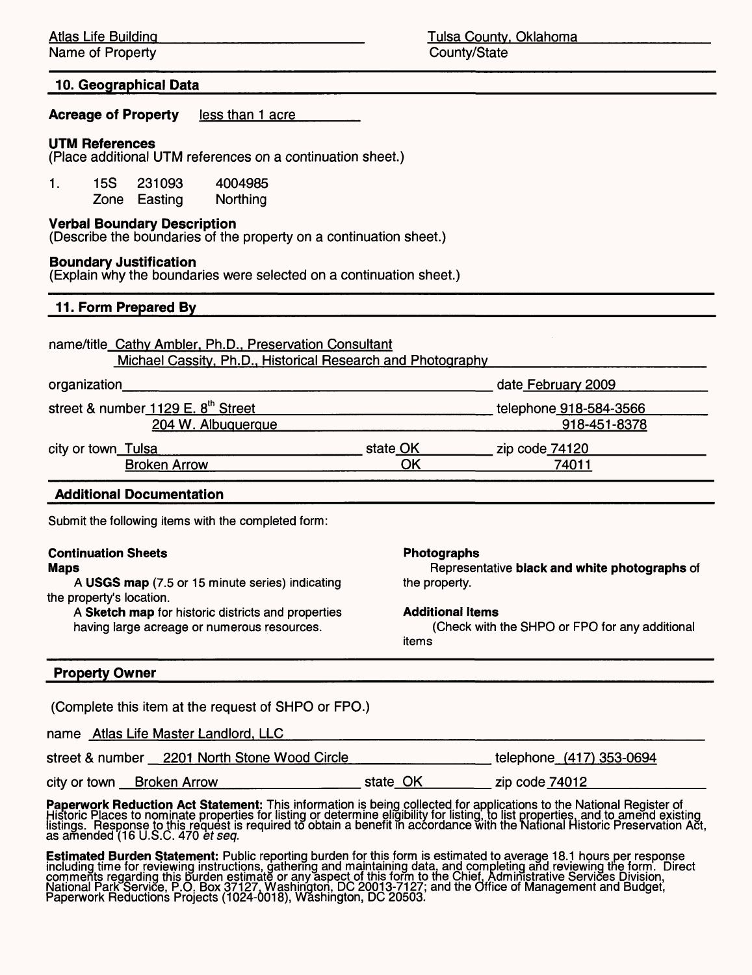Name of Property **County** County/State

#### **10. Geographical Data**

**Acreage of Property** less than 1 acre\_\_\_\_\_

#### **UTM References**

(Place additional UTM references on a continuation sheet.)

1. 15S 231093 4004985 Zone Easting Northing

#### **Verbal Boundary Description**

(Describe the boundaries of the property on a continuation sheet.)

#### **Boundary Justification**

(Explain why the boundaries were selected on a continuation sheet.)

#### **11. Form Prepared By**

name/title Cathv Ambler. Ph.D.. Preservation Consultant Michael Cassitv, Ph.D.. Historical Research and Photoaraohv

| organization                                   |          | date February 2009     |
|------------------------------------------------|----------|------------------------|
| street & number 1129 E. 8 <sup>th</sup> Street |          | telephone 918-584-3566 |
| 204 W. Albuquerque                             |          | 918-451-8378           |
| city or town Tulsa                             | state OK | zip code 74120         |
| <b>Broken Arrow</b>                            | ОK       | 74011                  |
|                                                |          |                        |

#### Additional Documentation

Submit the following items with the completed form:

#### **Continuation Sheets Maps**

**A USGS map** (7.5 or 15 minute series) indicating the property's location.

**A Sketch map** for historic districts and properties having large acreage or numerous resources.

#### **Photographs**

Representative **black and white photographs of** the property.

#### **Additional Items**

(Check with the SHPO or FPO for any additional items

#### **Property Owner**

(Complete this item at the request of SHPO or FPO.)

name Atlas Life Master Landlord, LLC

telephone (417)353-0694 street & number 2201 North Stone Wood Circle

state OK zip code 74012\_\_\_\_\_\_ city or town Broken Arrow

**Paperwork Reduction Act Statement:** This information is being collected for applications to the National Register of Historic Places to nominate properties for listing or determine eligibility for listing, to list properties, and to amend existing listings. Response to this request is required to obtain a benefit in accordance with the National Historic Preservation Act,<br>as amended (16 U.S.C. 470 *et seq*.

**Estimated Burden Statement:** Public reporting burden for this form is estimated to average 18.1 hours per response including time for reviewing instructions, gathering and maintaining data, and completing and reviewing the form. Direct comments regarding this burden estimate or any aspect of this form to the Chief, Administrative Services Division, National Park Service, P.O. Box 37127. Washington, DC 20013-7127; and the Office of Management and Budget, Paperwork Reductions Projects (1024-0018), Washington, DC 20503.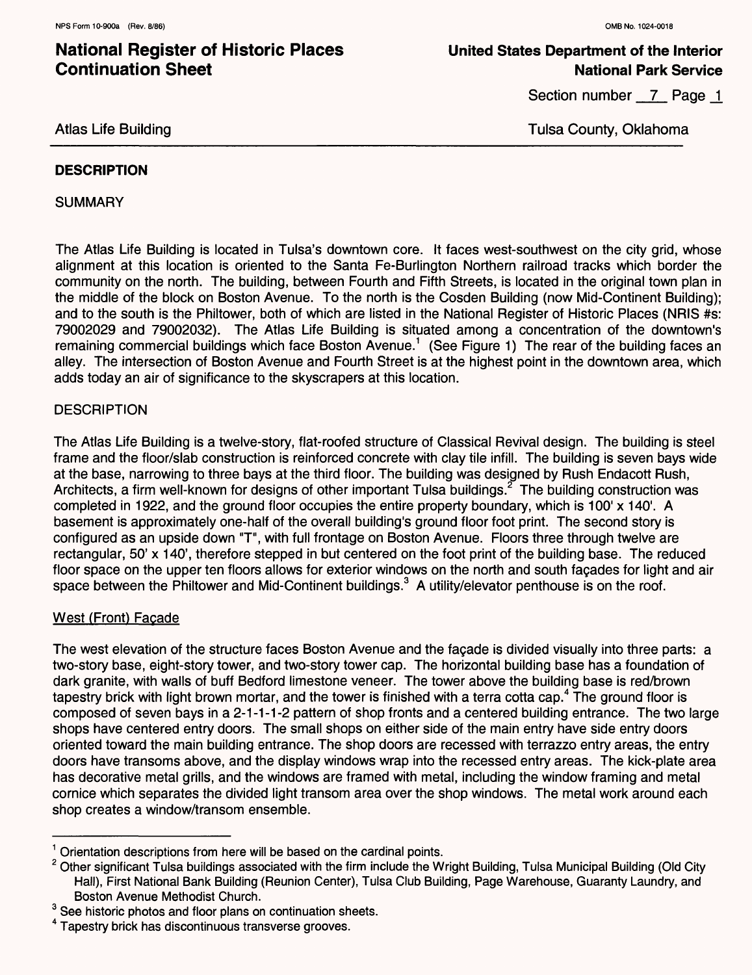### **United States Department of the Interior National Park Service**

Section number 7 Page 1

#### Atlas Life Building

Tulsa County, Oklahoma

#### **DESCRIPTION**

**SUMMARY** 

The Atlas Life Building is located in Tulsa's downtown core. It faces west-southwest on the city grid, whose alignment at this location is oriented to the Santa Fe-Burlington Northern railroad tracks which border the community on the north. The building, between Fourth and Fifth Streets, is located in the original town plan in the middle of the block on Boston Avenue. To the north is the Cosden Building (now Mid-Continent Building); and to the south is the Philtower, both of which are listed in the National Register of Historic Places (NRIS #s: 79002029 and 79002032). The Atlas Life Building is situated among a concentration of the downtown's remaining commercial buildings which face Boston Avenue.<sup>1</sup> (See Figure 1) The rear of the building faces an alley. The intersection of Boston Avenue and Fourth Street is at the highest point in the downtown area, which adds today an air of significance to the skyscrapers at this location.

#### **DESCRIPTION**

The Atlas Life Building is a twelve-story, flat-roofed structure of Classical Revival design. The building is steel frame and the floor/slab construction is reinforced concrete with clay tile infill. The building is seven bays wide at the base, narrowing to three bays at the third floor. The building was designed by Rush Endacott Rush, Architects, a firm well-known for designs of other important Tulsa buildings.<sup>2</sup> The building construction was completed in 1922, and the ground floor occupies the entire property boundary, which is 100' x 140'. A basement is approximately one-half of the overall building's ground floor foot print. The second story is configured as an upside down "T", with full frontage on Boston Avenue. Floors three through twelve are rectangular, 50' x 140', therefore stepped in but centered on the foot print of the building base. The reduced floor space on the upper ten floors allows for exterior windows on the north and south facades for light and air space between the Philtower and Mid-Continent buildings.<sup>3</sup> A utility/elevator penthouse is on the roof.

#### West (Front) Facade

The west elevation of the structure faces Boston Avenue and the facade is divided visually into three parts: a two-story base, eight-story tower, and two-story tower cap. The horizontal building base has a foundation of dark granite, with walls of buff Bedford limestone veneer. The tower above the building base is red/brown tapestry brick with light brown mortar, and the tower is finished with a terra cotta cap.<sup>4</sup> The ground floor is composed of seven bays in a 2-1-1-1-2 pattern of shop fronts and a centered building entrance. The two large shops have centered entry doors. The small shops on either side of the main entry have side entry doors oriented toward the main building entrance. The shop doors are recessed with terrazzo entry areas, the entry doors have transoms above, and the display windows wrap into the recessed entry areas. The kick-plate area has decorative metal grills, and the windows are framed with metal, including the window framing and metal cornice which separates the divided light transom area over the shop windows. The metal work around each shop creates a window/transom ensemble.

 $1$  Orientation descriptions from here will be based on the cardinal points.

 $2$  Other significant Tulsa buildings associated with the firm include the Wright Building, Tulsa Municipal Building (Old City Hall), First National Bank Building (Reunion Center), Tulsa Club Building, Page Warehouse, Guaranty Laundry, and Boston Avenue Methodist Church.

<sup>&</sup>lt;sup>3</sup> See historic photos and floor plans on continuation sheets.

<sup>4</sup> Tapestry brick has discontinuous transverse grooves.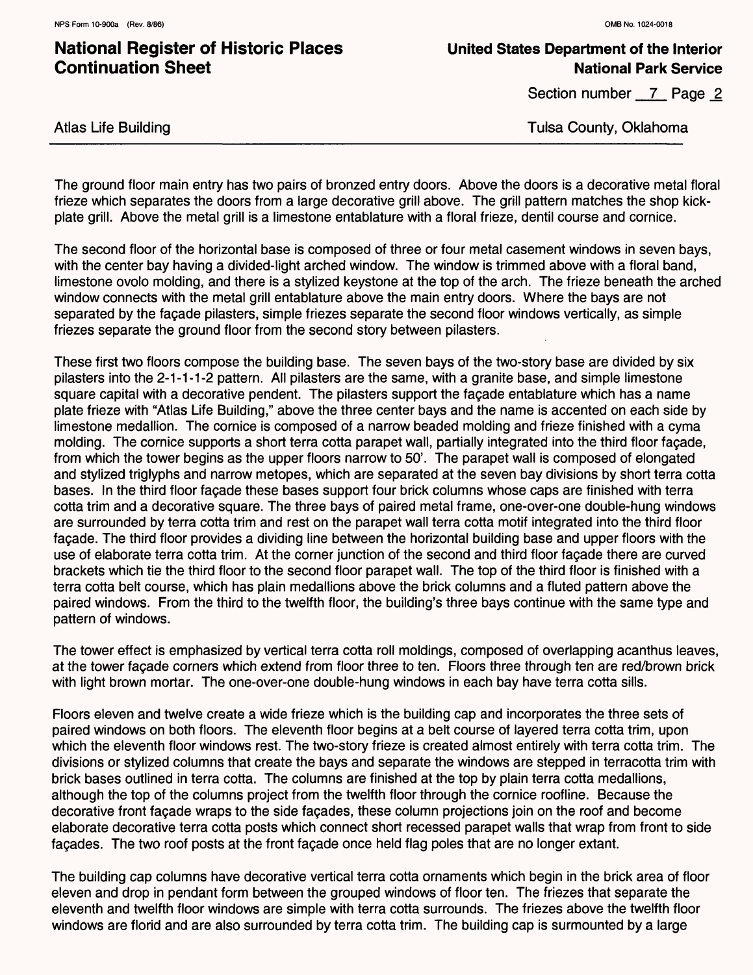### **United States Department of the Interior National Park Service**

Section number 7 Page 2

Tulsa County, Oklahoma

Atlas Life Building

The ground floor main entry has two pairs of bronzed entry doors. Above the doors is a decorative metal floral frieze which separates the doors from a large decorative grill above. The grill pattern matches the shop kickplate grill. Above the metal grill is a limestone entablature with a floral frieze, dentil course and cornice.

The second floor of the horizontal base is composed of three or four metal casement windows in seven bays, with the center bay having a divided-light arched window. The window is trimmed above with a floral band, limestone ovolo molding, and there is a stylized keystone at the top of the arch. The frieze beneath the arched window connects with the metal grill entablature above the main entry doors. Where the bays are not separated by the fagade pilasters, simple friezes separate the second floor windows vertically, as simple friezes separate the ground floor from the second story between pilasters.

These first two floors compose the building base. The seven bays of the two-story base are divided by six pilasters into the 2-1-1-1-2 pattern. All pilasters are the same, with a granite base, and simple limestone square capital with a decorative pendent. The pilasters support the fagade entablature which has a name plate frieze with "Atlas Life Building," above the three center bays and the name is accented on each side by limestone medallion. The cornice is composed of a narrow beaded molding and frieze finished with a cyma molding. The cornice supports a short terra cotta parapet wall, partially integrated into the third floor fagade, from which the tower begins as the upper floors narrow to 50'. The parapet wall is composed of elongated and stylized triglyphs and narrow metopes, which are separated at the seven bay divisions by short terra cotta bases. In the third floor fagade these bases support four brick columns whose caps are finished with terra cotta trim and a decorative square. The three bays of paired metal frame, one-over-one double-hung windows are surrounded by terra cotta trim and rest on the parapet wall terra cotta motif integrated into the third floor fagade. The third floor provides a dividing line between the horizontal building base and upper floors with the use of elaborate terra cotta trim. At the corner junction of the second and third floor fagade there are curved brackets which tie the third floor to the second floor parapet wall. The top of the third floor is finished with a terra cotta belt course, which has plain medallions above the brick columns and a fluted pattern above the paired windows. From the third to the twelfth floor, the building's three bays continue with the same type and pattern of windows.

The tower effect is emphasized by vertical terra cotta roll moldings, composed of overlapping acanthus leaves, at the tower fagade corners which extend from floor three to ten. Floors three through ten are red/brown brick with light brown mortar. The one-over-one double-hung windows in each bay have terra cotta sills.

Floors eleven and twelve create a wide frieze which is the building cap and incorporates the three sets of paired windows on both floors. The eleventh floor begins at a belt course of layered terra cotta trim, upon which the eleventh floor windows rest. The two-story frieze is created almost entirely with terra cotta trim. The divisions or stylized columns that create the bays and separate the windows are stepped in terracotta trim with brick bases outlined in terra cotta. The columns are finished at the top by plain terra cotta medallions, although the top of the columns project from the twelfth floor through the cornice roofline. Because the decorative front fagade wraps to the side fagades, these column projections join on the roof and become elaborate decorative terra cotta posts which connect short recessed parapet walls that wrap from front to side facades. The two roof posts at the front facade once held flag poles that are no longer extant.

The building cap columns have decorative vertical terra cotta ornaments which begin in the brick area of floor eleven and drop in pendant form between the grouped windows of floor ten. The friezes that separate the eleventh and twelfth floor windows are simple with terra cotta surrounds. The friezes above the twelfth floor windows are florid and are also surrounded by terra cotta trim. The building cap is surmounted by a large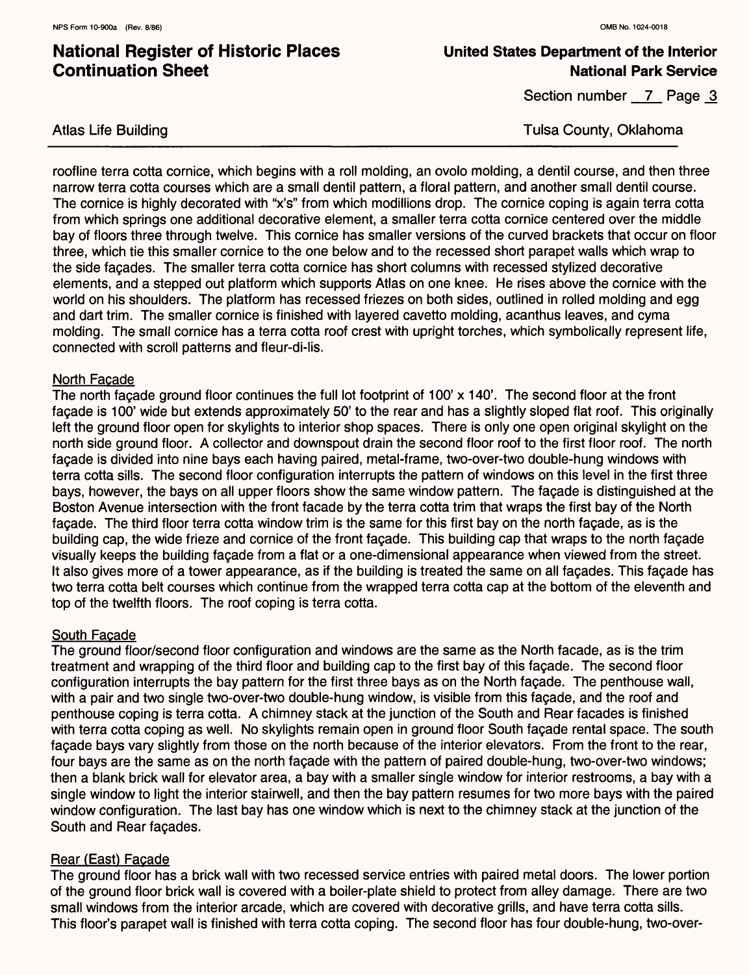Atlas Life Building

### **National Register of Historic Places Continuation Sheet**

### **United States Department of the Interior National Park Service**

Section number 7 Page 3

Tulsa County, Oklahoma

roofline terra cotta cornice, which begins with a roll molding, an ovolo molding, a dentil course, and then three narrow terra cotta courses which are a small dentil pattern, a floral pattern, and another small dentil course. The cornice is highly decorated with "x's" from which modillions drop. The cornice coping is again terra cotta from which springs one additional decorative element, a smaller terra cotta cornice centered over the middle bay of floors three through twelve. This cornice has smaller versions of the curved brackets that occur on floor three, which tie this smaller cornice to the one below and to the recessed short parapet walls which wrap to the side fagades. The smaller terra cotta cornice has short columns with recessed stylized decorative elements, and a stepped out platform which supports Atlas on one knee. He rises above the cornice with the world on his shoulders. The platform has recessed friezes on both sides, outlined in rolled molding and egg and dart trim. The smaller cornice is finished with layered cavetto molding, acanthus leaves, and cyma molding. The small cornice has a terra cotta roof crest with upright torches, which symbolically represent life, connected with scroll patterns and fleur-di-lis.

#### North Facade

The north facade ground floor continues the full lot footprint of 100' x 140'. The second floor at the front fagade is 100' wide but extends approximately 50' to the rear and has a slightly sloped flat roof. This originally left the ground floor open for skylights to interior shop spaces. There is only one open original skylight on the north side ground floor. A collector and downspout drain the second floor roof to the first floor roof. The north fagade is divided into nine bays each having paired, metal-frame, two-over-two double-hung windows with terra cotta sills. The second floor configuration interrupts the pattern of windows on this level in the first three bays, however, the bays on all upper floors show the same window pattern. The fagade is distinguished at the Boston Avenue intersection with the front facade by the terra cotta trim that wraps the first bay of the North fagade. The third floor terra cotta window trim is the same for this first bay on the north fagade, as is the building cap, the wide frieze and cornice of the front fagade. This building cap that wraps to the north fagade visually keeps the building fagade from a flat or a one-dimensional appearance when viewed from the street. It also gives more of a tower appearance, as if the building is treated the same on all fagades. This fagade has two terra cotta belt courses which continue from the wrapped terra cotta cap at the bottom of the eleventh and top of the twelfth floors. The roof coping is terra cotta.

### South Facade

The ground floor/second floor configuration and windows are the same as the North facade, as is the trim treatment and wrapping of the third floor and building cap to the first bay of this fagade. The second floor configuration interrupts the bay pattern for the first three bays as on the North fagade. The penthouse wall, with a pair and two single two-over-two double-hung window, is visible from this fagade, and the roof and penthouse coping is terra cotta. A chimney stack at the junction of the South and Rear facades is finished with terra cotta coping as well. No skylights remain open in ground floor South fagade rental space. The south fagade bays vary slightly from those on the north because of the interior elevators. From the front to the rear, four bays are the same as on the north fagade with the pattern of paired double-hung, two-over-two windows; then a blank brick wall for elevator area, a bay with a smaller single window for interior restrooms, a bay with a single window to light the interior stairwell, and then the bay pattern resumes for two more bays with the paired window configuration. The last bay has one window which is next to the chimney stack at the junction of the South and Rear fagades.

### Rear (East) Facade

The ground floor has a brick wall with two recessed service entries with paired metal doors. The lower portion of the ground floor brick wall is covered with a boiler-plate shield to protect from alley damage. There are two small windows from the interior arcade, which are covered with decorative grills, and have terra cotta sills. This floor's parapet wall is finished with terra cotta coping. The second floor has four double-hung, two-over-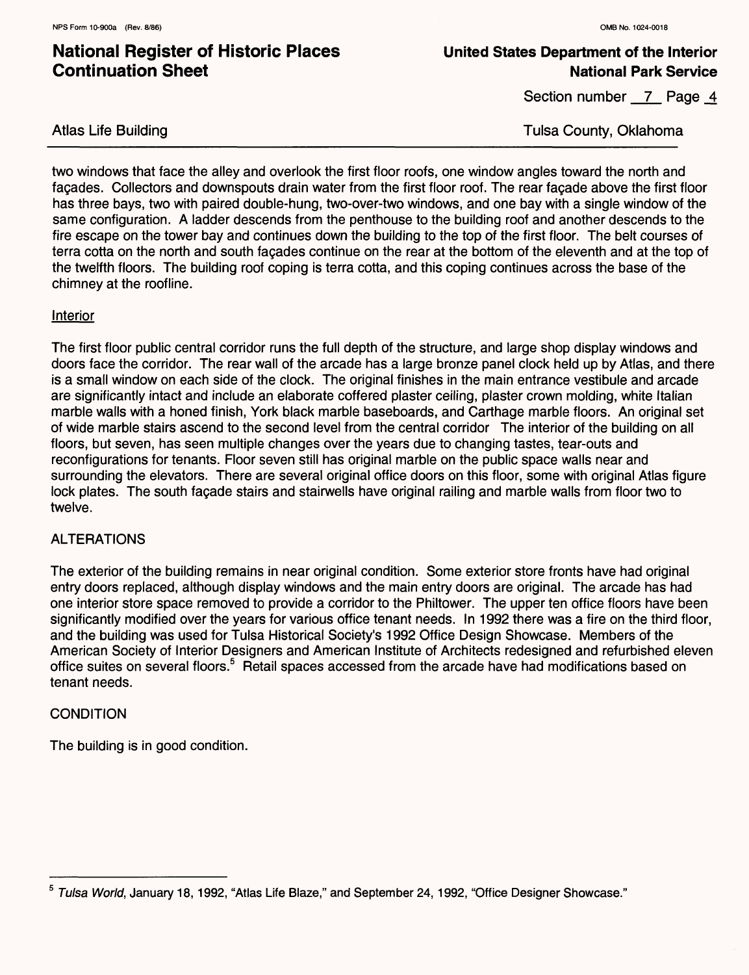### **United States Department of the Interior National Park Service**

Section number 7 Page 4

Atlas Life Building

Tulsa County, Oklahoma

two windows that face the alley and overlook the first floor roofs, one window angles toward the north and fagades. Collectors and downspouts drain water from the first floor roof. The rear fagade above the first floor has three bays, two with paired double-hung, two-over-two windows, and one bay with a single window of the same configuration. A ladder descends from the penthouse to the building roof and another descends to the fire escape on the tower bay and continues down the building to the top of the first floor. The belt courses of terra cotta on the north and south fagades continue on the rear at the bottom of the eleventh and at the top of the twelfth floors. The building roof coping is terra cotta, and this coping continues across the base of the chimney at the roofline.

#### **Interior**

The first floor public central corridor runs the full depth of the structure, and large shop display windows and doors face the corridor. The rear wall of the arcade has a large bronze panel clock held up by Atlas, and there is a small window on each side of the clock. The original finishes in the main entrance vestibule and arcade are significantly intact and include an elaborate coffered plaster ceiling, plaster crown molding, white Italian marble walls with a honed finish, York black marble baseboards, and Carthage marble floors. An original set of wide marble stairs ascend to the second level from the central corridor The interior of the building on all floors, but seven, has seen multiple changes over the years due to changing tastes, tear-outs and reconfigurations for tenants. Floor seven still has original marble on the public space walls near and surrounding the elevators. There are several original office doors on this floor, some with original Atlas figure lock plates. The south fagade stairs and stairwells have original railing and marble walls from floor two to twelve.

### **ALTERATIONS**

The exterior of the building remains in near original condition. Some exterior store fronts have had original entry doors replaced, although display windows and the main entry doors are original. The arcade has had one interior store space removed to provide a corridor to the Philtower. The upper ten office floors have been significantly modified over the years for various office tenant needs. In 1992 there was a fire on the third floor, and the building was used for Tulsa Historical Society's 1992 Office Design Showcase. Members of the American Society of Interior Designers and American Institute of Architects redesigned and refurbished eleven office suites on several floors.<sup>5</sup> Retail spaces accessed from the arcade have had modifications based on tenant needs.

### **CONDITION**

The building is in good condition.

<sup>&</sup>lt;sup>5</sup> Tulsa World, January 18, 1992, "Atlas Life Blaze," and September 24, 1992, "Office Designer Showcase."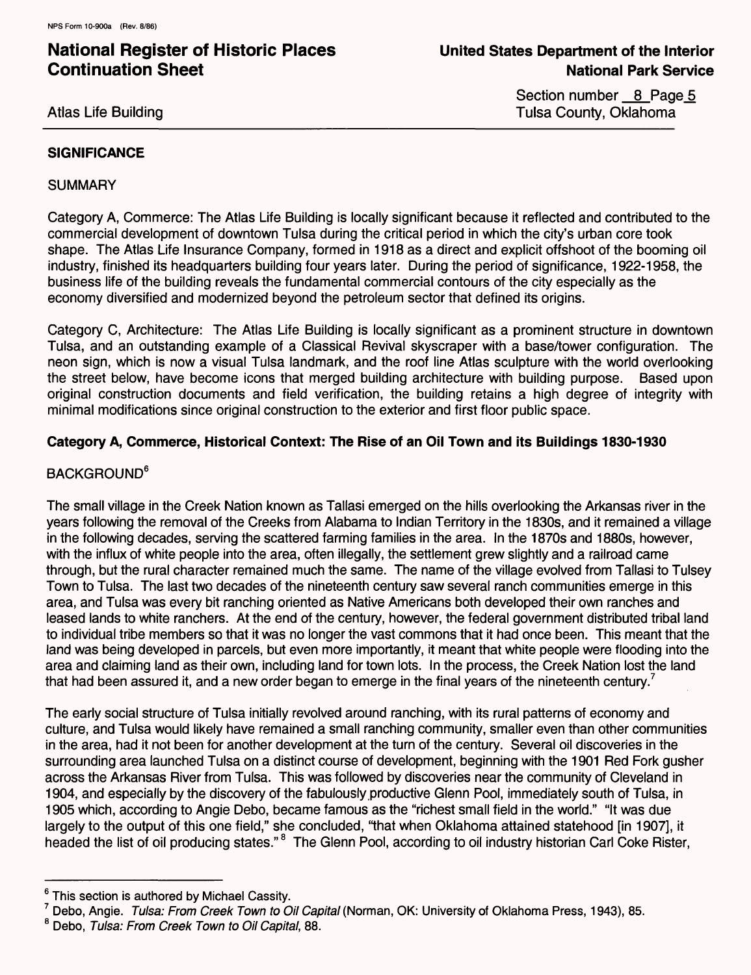Atlas Life Building

Section number 8 Page 5 Tulsa County, Oklahoma

### **SIGNIFICANCE**

#### **SUMMARY**

Category A, Commerce: The Atlas Life Building is locally significant because it reflected and contributed to the commercial development of downtown Tulsa during the critical period in which the city's urban core took shape. The Atlas Life Insurance Company, formed in 1918 as a direct and explicit offshoot of the booming oil industry, finished its headquarters building four years later. During the period of significance, 1922-1958, the business life of the building reveals the fundamental commercial contours of the city especially as the economy diversified and modernized beyond the petroleum sector that defined its origins.

Category C, Architecture: The Atlas Life Building is locally significant as a prominent structure in downtown Tulsa, and an outstanding example of a Classical Revival skyscraper with a base/tower configuration. The neon sign, which is now a visual Tulsa landmark, and the roof line Atlas sculpture with the world overlooking the street below, have become icons that merged building architecture with building purpose. Based upon original construction documents and field verification, the building retains a high degree of integrity with minimal modifications since original construction to the exterior and first floor public space.

### **Category A, Commerce, Historical Context: The Rise of an Oil Town and its Buildings 1830-1930**

### **BACKGROUND<sup>6</sup>**

The small village in the Creek Nation known as Tallasi emerged on the hills overlooking the Arkansas river in the years following the removal of the Creeks from Alabama to Indian Territory in the 1830s, and it remained a village in the following decades, serving the scattered farming families in the area. In the 1870s and 1880s, however, with the influx of white people into the area, often illegally, the settlement grew slightly and a railroad came through, but the rural character remained much the same. The name of the village evolved from Tallasi to Tulsey Town to Tulsa. The last two decades of the nineteenth century saw several ranch communities emerge in this area, and Tulsa was every bit ranching oriented as Native Americans both developed their own ranches and leased lands to white ranchers. At the end of the century, however, the federal government distributed tribal land to individual tribe members so that it was no longer the vast commons that it had once been. This meant that the land was being developed in parcels, but even more importantly, it meant that white people were flooding into the area and claiming land as their own, including land for town lots. In the process, the Creek Nation lost the land that had been assured it, and a new order began to emerge in the final years of the nineteenth century.<sup>7</sup>

The early social structure of Tulsa initially revolved around ranching, with its rural patterns of economy and culture, and Tulsa would likely have remained a small ranching community, smaller even than other communities in the area, had it not been for another development at the turn of the century. Several oil discoveries in the surrounding area launched Tulsa on a distinct course of development, beginning with the 1901 Red Fork gusher across the Arkansas River from Tulsa. This was followed by discoveries near the community of Cleveland in 1904, and especially by the discovery of the fabulously productive Glenn Pool, immediately south of Tulsa, in 1905 which, according to Angie Debo, became famous as the "richest small field in the world." "It was due largely to the output of this one field," she concluded, "that when Oklahoma attained statehood [in 1907], it headed the list of oil producing states." <sup>8</sup> The Glenn Pool, according to oil industry historian Carl Coke Rister,

<sup>&</sup>lt;sup>6</sup> This section is authored by Michael Cassity.

<sup>&</sup>lt;sup>7</sup> Debo, Angie. Tulsa: From Creek Town to Oil Capital (Norman, OK: University of Oklahoma Press, 1943), 85.

<sup>&</sup>lt;sup>8</sup> Debo, Tulsa: From Creek Town to Oil Capital, 88.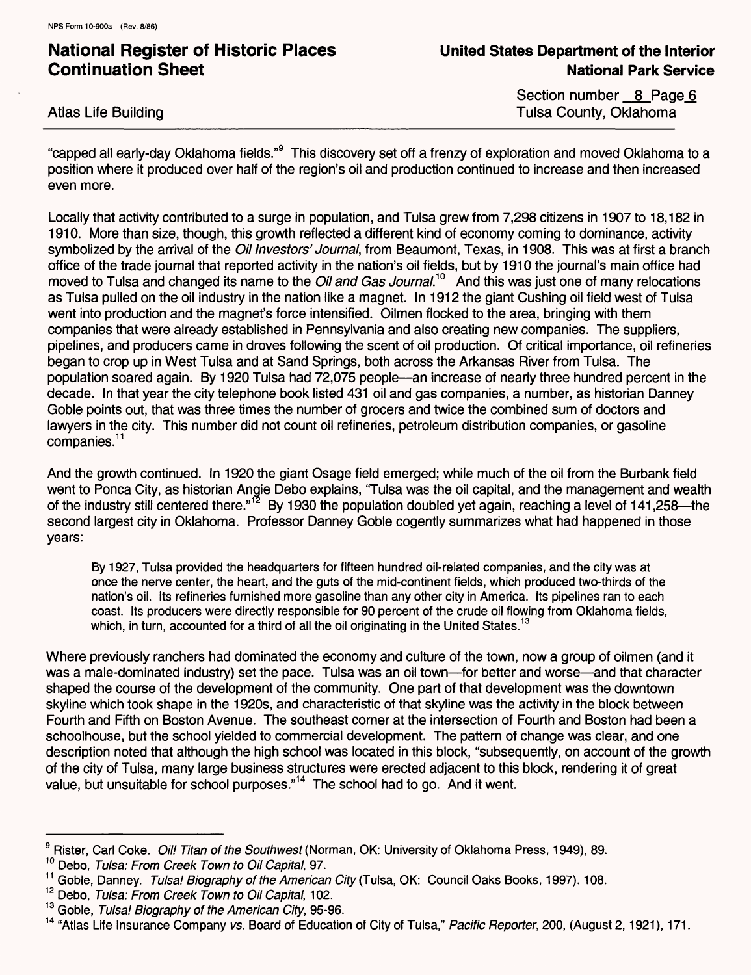Atlas Life Building

Section number 8 Page 6 Tulsa County, Oklahoma

"capped all early-day Oklahoma fields."<sup>9</sup> This discovery set off a frenzy of exploration and moved Oklahoma to a position where it produced over half of the region's oil and production continued to increase and then increased even more.

Locally that activity contributed to a surge in population, and Tulsa grew from 7,298 citizens in 1907 to 18,182 in 1910. More than size, though, this growth reflected a different kind of economy coming to dominance, activity symbolized by the arrival of the *Oil Investors' Journal*, from Beaumont, Texas, in 1908. This was at first a branch office of the trade journal that reported activity in the nation's oil fields, but by 1910 the journal's main office had moved to Tulsa and changed its name to the Oil and Gas Journal.<sup>10</sup> And this was just one of many relocations as Tulsa pulled on the oil industry in the nation like a magnet. In 1912 the giant Gushing oil field west of Tulsa went into production and the magnet's force intensified. Oilmen flocked to the area, bringing with them companies that were already established in Pennsylvania and also creating new companies. The suppliers, pipelines, and producers came in droves following the scent of oil production. Of critical importance, oil refineries began to crop up in West Tulsa and at Sand Springs, both across the Arkansas River from Tulsa. The population soared again. By 1920 Tulsa had 72,075 people—an increase of nearly three hundred percent in the decade. In that year the city telephone book listed 431 oil and gas companies, a number, as historian Danney Goble points out, that was three times the number of grocers and twice the combined sum of doctors and lawyers in the city. This number did not count oil refineries, petroleum distribution companies, or gasoline companies.<sup>11</sup>

And the growth continued. In 1920 the giant Osage field emerged; while much of the oil from the Burbank field went to Ponca City, as historian Angie Debo explains, 'Tulsa was the oil capital, and the management and wealth of the industry still centered there."<sup>12</sup> By 1930 the population doubled yet again, reaching a level of 141,258—the second largest city in Oklahoma. Professor Danney Goble cogently summarizes what had happened in those years:

By 1927, Tulsa provided the headquarters for fifteen hundred oil-related companies, and the city was at once the nerve center, the heart, and the guts of the mid-continent fields, which produced two-thirds of the nation's oil. Its refineries furnished more gasoline than any other city in America. Its pipelines ran to each coast. Its producers were directly responsible for 90 percent of the crude oil flowing from Oklahoma fields, which, in turn, accounted for a third of all the oil originating in the United States.<sup>13</sup>

Where previously ranchers had dominated the economy and culture of the town, now a group of oilmen (and it was a male-dominated industry) set the pace. Tulsa was an oil town—for better and worse—and that character shaped the course of the development of the community. One part of that development was the downtown skyline which took shape in the 1920s, and characteristic of that skyline was the activity in the block between Fourth and Fifth on Boston Avenue. The southeast corner at the intersection of Fourth and Boston had been a schoolhouse, but the school yielded to commercial development. The pattern of change was clear, and one description noted that although the high school was located in this block, "subsequently, on account of the growth of the city of Tulsa, many large business structures were erected adjacent to this block, rendering it of great value, but unsuitable for school purposes."<sup>14</sup> The school had to go. And it went.

<sup>&</sup>lt;sup>9</sup> Rister, Carl Coke. *Oil! Titan of the Southwest* (Norman, OK: University of Oklahoma Press, 1949), 89.

<sup>&</sup>lt;sup>10</sup> Debo. Tulsa: From Creek Town to Oil Capital, 97.

<sup>&</sup>lt;sup>11</sup> Goble, Danney. Tulsa! Biography of the American City (Tulsa, OK: Council Oaks Books, 1997). 108.

<sup>&</sup>lt;sup>12</sup> Debo, Tulsa: From Creek Town to Oil Capital, 102.

<sup>&</sup>lt;sup>13</sup> Goble, Tulsa! Biography of the American City, 95-96.

<sup>&</sup>lt;sup>14</sup> "Atlas Life Insurance Company vs. Board of Education of City of Tulsa," Pacific Reporter, 200, (August 2, 1921), 171.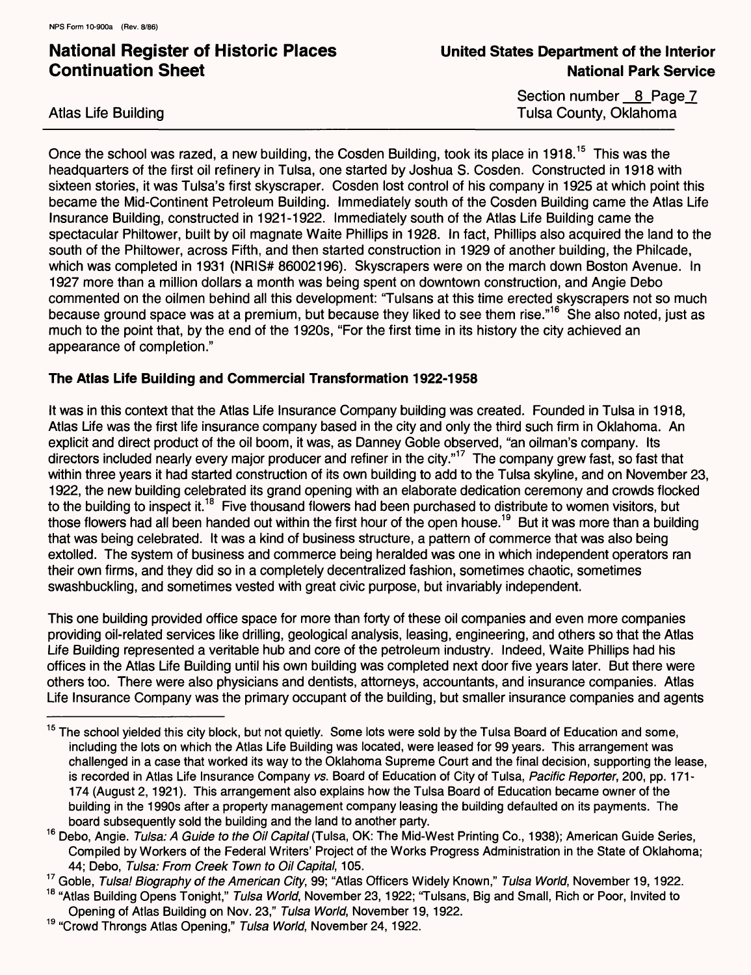Atlas Life Building

Section number 8 Page 7 Tulsa County, Oklahoma

Once the school was razed, a new building, the Cosden Building, took its place in 1918.<sup>15</sup> This was the headquarters of the first oil refinery in Tulsa, one started by Joshua S. Cosden. Constructed in 1918 with sixteen stories, it was Tulsa's first skyscraper. Cosden lost control of his company in 1925 at which point this became the Mid-Continent Petroleum Building. Immediately south of the Cosden Building came the Atlas Life Insurance Building, constructed in 1921-1922. Immediately south of the Atlas Life Building came the spectacular Philtower, built by oil magnate Waite Phillips in 1928. In fact, Phillips also acquired the land to the south of the Philtower, across Fifth, and then started construction in 1929 of another building, the Philcade, which was completed in 1931 (NRIS# 86002196). Skyscrapers were on the march down Boston Avenue. In 1927 more than a million dollars a month was being spent on downtown construction, and Angie Debo commented on the oilmen behind all this development: "Tulsans at this time erected skyscrapers not so much because ground space was at a premium, but because they liked to see them rise."16 She also noted, just as much to the point that, by the end of the 1920s, "For the first time in its history the city achieved an appearance of completion."

### **The Atlas Life Building and Commercial Transformation 1922-1958**

It was in this context that the Atlas Life Insurance Company building was created. Founded in Tulsa in 1918, Atlas Life was the first life insurance company based in the city and only the third such firm in Oklahoma. An explicit and direct product of the oil boom, it was, as Danney Goble observed, "an oilman's company. Its directors included nearly every major producer and refiner in the city."<sup>17</sup> The company grew fast, so fast that within three years it had started construction of its own building to add to the Tulsa skyline, and on November 23, 1922, the new building celebrated its grand opening with an elaborate dedication ceremony and crowds flocked to the building to inspect it.<sup>18</sup> Five thousand flowers had been purchased to distribute to women visitors, but those flowers had all been handed out within the first hour of the open house.<sup>19</sup> But it was more than a building that was being celebrated. It was a kind of business structure, a pattern of commerce that was also being extolled. The system of business and commerce being heralded was one in which independent operators ran their own firms, and they did so in a completely decentralized fashion, sometimes chaotic, sometimes swashbuckling, and sometimes vested with great civic purpose, but invariably independent.

This one building provided office space for more than forty of these oil companies and even more companies providing oil-related services like drilling, geological analysis, leasing, engineering, and others so that the Atlas Life Building represented a veritable hub and core of the petroleum industry. Indeed, Waite Phillips had his offices in the Atlas Life Building until his own building was completed next door five years later. But there were others too. There were also physicians and dentists, attorneys, accountants, and insurance companies. Atlas Life Insurance Company was the primary occupant of the building, but smaller insurance companies and agents

<sup>&</sup>lt;sup>15</sup> The school yielded this city block, but not quietly. Some lots were sold by the Tulsa Board of Education and some, including the lots on which the Atlas Life Building was located, were leased for 99 years. This arrangement was challenged in a case that worked its way to the Oklahoma Supreme Court and the final decision, supporting the lease, is recorded in Atlas Life Insurance Company vs. Board of Education of City of Tulsa, Pacific Reporter, 200, pp. 171-174 (August 2,1921). This arrangement also explains how the Tulsa Board of Education became owner of the building in the 1990s after a property management company leasing the building defaulted on its payments. The board subsequently sold the building and the land to another party.

<sup>&</sup>lt;sup>16</sup> Debo, Angie. Tulsa: A Guide to the Oil Capital (Tulsa, OK: The Mid-West Printing Co., 1938); American Guide Series, Compiled by Workers of the Federal Writers' Project of the Works Progress Administration in the State of Oklahoma; 44; Debo, Tulsa: From Creek Town to Oil Capital, 105.

<sup>&</sup>lt;sup>17</sup> Goble. Tulsa! Biography of the American City, 99; "Atlas Officers Widely Known," Tulsa World, November 19, 1922.

<sup>&</sup>lt;sup>18</sup> "Atlas Building Opens Tonight," Tulsa World, November 23, 1922; "Tulsans, Big and Small, Rich or Poor, Invited to Opening of Atlas Building on Nov. 23," Tulsa World, November 19, 1922.

<sup>&</sup>lt;sup>19</sup> "Crowd Throngs Atlas Opening," Tulsa World, November 24, 1922.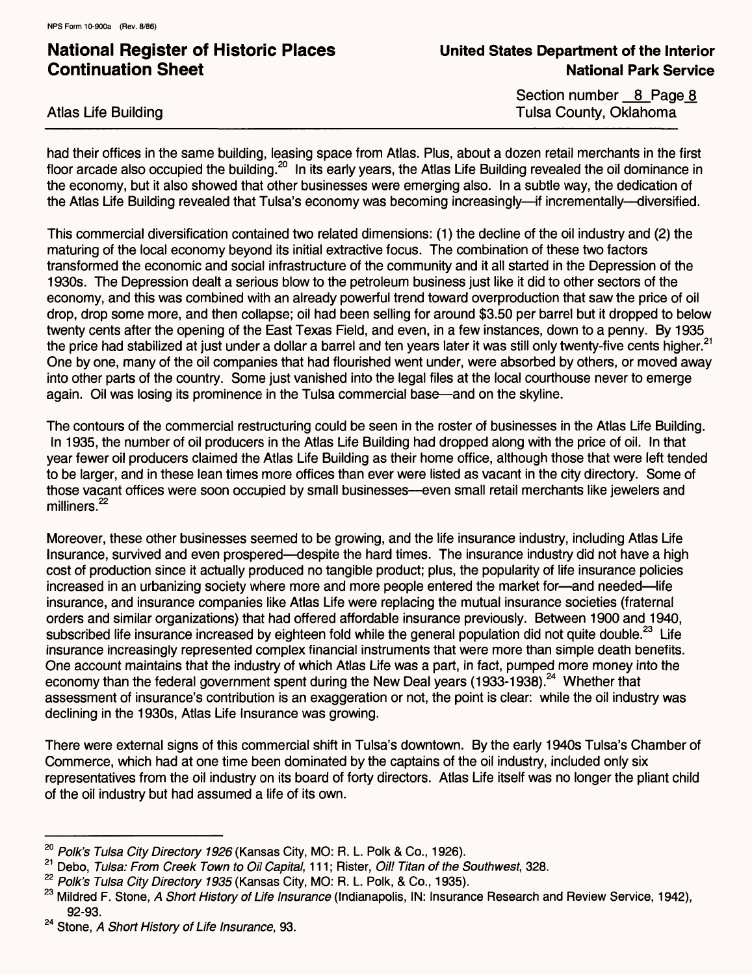Atlas Life Building

Section number 8 Page 8 Tulsa County, Oklahoma

had their offices in the same building, leasing space from Atlas. Plus, about a dozen retail merchants in the first floor arcade also occupied the building.<sup>20</sup> In its early years, the Atlas Life Building revealed the oil dominance in the economy, but it also showed that other businesses were emerging also. In a subtle way, the dedication of the Atlas Life Building revealed that Tulsa's economy was becoming increasingly—if incrementally—diversified.

This commercial diversification contained two related dimensions: (1) the decline of the oil industry and (2) the maturing of the local economy beyond its initial extractive focus. The combination of these two factors transformed the economic and social infrastructure of the community and it all started in the Depression of the 1930s. The Depression dealt a serious blow to the petroleum business just like it did to other sectors of the economy, and this was combined with an already powerful trend toward overproduction that saw the price of oil drop, drop some more, and then collapse; oil had been selling for around \$3.50 per barrel but it dropped to below twenty cents after the opening of the East Texas Field, and even, in a few instances, down to a penny. By 1935 the price had stabilized at just under a dollar a barrel and ten years later it was still only twenty-five cents higher.<sup>21</sup> One by one, many of the oil companies that had flourished went under, were absorbed by others, or moved away into other parts of the country. Some just vanished into the legal files at the local courthouse never to emerge again. Oil was losing its prominence in the Tulsa commercial base—and on the skyline.

The contours of the commercial restructuring could be seen in the roster of businesses in the Atlas Life Building. In 1935, the number of oil producers in the Atlas Life Building had dropped along with the price of oil. In that year fewer oil producers claimed the Atlas Life Building as their home office, although those that were left tended to be larger, and in these lean times more offices than ever were listed as vacant in the city directory. Some of those vacant offices were soon occupied by small businesses—even small retail merchants like jewelers and milliners. **<sup>22</sup>**

Moreover, these other businesses seemed to be growing, and the life insurance industry, including Atlas Life Insurance, survived and even prospered—despite the hard times. The insurance industry did not have a high cost of production since it actually produced no tangible product; plus, the popularity of life insurance policies increased in an urbanizing society where more and more people entered the market for-and needed-life insurance, and insurance companies like Atlas Life were replacing the mutual insurance societies (fraternal orders and similar organizations) that had offered affordable insurance previously. Between 1900 and 1940, subscribed life insurance increased by eighteen fold while the general population did not quite double.<sup>23</sup> Life insurance increasingly represented complex financial instruments that were more than simple death benefits. One account maintains that the industry of which Atlas Life was a part, in fact, pumped more money into the economy than the federal government spent during the New Deal years (1933-1938).<sup>24</sup> Whether that assessment of insurance's contribution is an exaggeration or not, the point is clear: while the oil industry was declining in the 1930s, Atlas Life Insurance was growing.

There were external signs of this commercial shift in Tulsa's downtown. By the early 1940s Tulsa's Chamber of Commerce, which had at one time been dominated by the captains of the oil industry, included only six representatives from the oil industry on its board of forty directors. Atlas Life itself was no longer the pliant child of the oil industry but had assumed a life of its own.

 $20$  Polk's Tulsa City Directory 1926 (Kansas City, MO: R. L. Polk & Co., 1926).

<sup>&</sup>lt;sup>21</sup> Debo, Tulsa: From Creek Town to Oil Capital, 111; Rister, Oil! Titan of the Southwest, 328.

<sup>&</sup>lt;sup>22</sup> Polk's Tulsa City Directory 1935 (Kansas City, MO: R. L. Polk, & Co., 1935).

<sup>&</sup>lt;sup>23</sup> Mildred F. Stone, A Short History of Life Insurance (Indianapolis, IN: Insurance Research and Review Service, 1942), 92-93.

<sup>&</sup>lt;sup>24</sup> Stone, A Short History of Life Insurance, 93.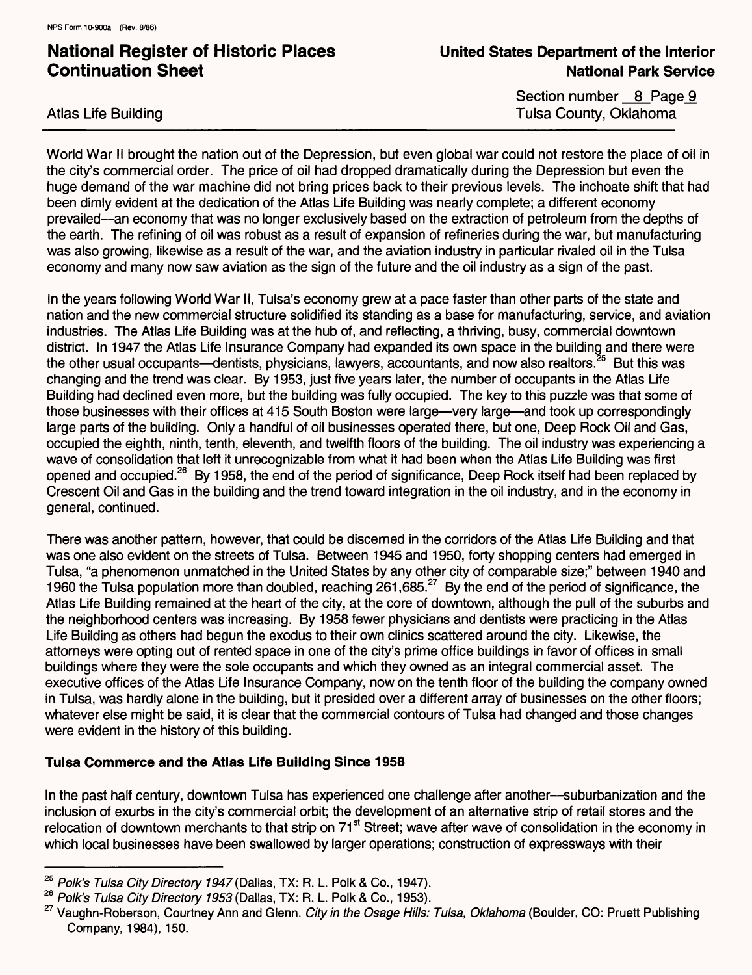Atlas Life Building

Section number 8 Page 9 Tulsa County, Oklahoma

World War II brought the nation out of the Depression, but even global war could not restore the place of oil in the city's commercial order. The price of oil had dropped dramatically during the Depression but even the huge demand of the war machine did not bring prices back to their previous levels. The inchoate shift that had been dimly evident at the dedication of the Atlas Life Building was nearly complete; a different economy prevailed an economy that was no longer exclusively based on the extraction of petroleum from the depths of the earth. The refining of oil was robust as a result of expansion of refineries during the war, but manufacturing was also growing, likewise as a result of the war, and the aviation industry in particular rivaled oil in the Tulsa economy and many now saw aviation as the sign of the future and the oil industry as a sign of the past.

In the years following World War II, Tulsa's economy grew at a pace faster than other parts of the state and nation and the new commercial structure solidified its standing as a base for manufacturing, service, and aviation industries. The Atlas Life Building was at the hub of, and reflecting, a thriving, busy, commercial downtown district. In 1947 the Atlas Life Insurance Company had expanded its own space in the building and there were the other usual occupants—dentists, physicians, lawyers, accountants, and now also realtors.<sup>25</sup> But this was changing and the trend was clear. By 1953, just five years later, the number of occupants in the Atlas Life Building had declined even more, but the building was fully occupied. The key to this puzzle was that some of those businesses with their offices at 415 South Boston were large—very large—and took up correspondingly large parts of the building. Only a handful of oil businesses operated there, but one, Deep Rock Oil and Gas, occupied the eighth, ninth, tenth, eleventh, and twelfth floors of the building. The oil industry was experiencing a wave of consolidation that left it unrecognizable from what it had been when the Atlas Life Building was first opened and occupied.<sup>26</sup> By 1958, the end of the period of significance, Deep Rock itself had been replaced by Crescent Oil and Gas in the building and the trend toward integration in the oil industry, and in the economy in general, continued.

There was another pattern, however, that could be discerned in the corridors of the Atlas Life Building and that was one also evident on the streets of Tulsa. Between 1945 and 1950, forty shopping centers had emerged in Tulsa, "a phenomenon unmatched in the United States by any other city of comparable size;" between 1940 and 1960 the Tulsa population more than doubled, reaching 261,685.<sup>27</sup> By the end of the period of significance, the Atlas Life Building remained at the heart of the city, at the core of downtown, although the pull of the suburbs and the neighborhood centers was increasing. By 1958 fewer physicians and dentists were practicing in the Atlas Life Building as others had begun the exodus to their own clinics scattered around the city. Likewise, the attorneys were opting out of rented space in one of the city's prime office buildings in favor of offices in small buildings where they were the sole occupants and which they owned as an integral commercial asset. The executive offices of the Atlas Life Insurance Company, now on the tenth floor of the building the company owned in Tulsa, was hardly alone in the building, but it presided over a different array of businesses on the other floors; whatever else might be said, it is clear that the commercial contours of Tulsa had changed and those changes were evident in the history of this building.

### **Tulsa Commerce and the Atlas Life Building Since 1958**

In the past half century, downtown Tulsa has experienced one challenge after another—suburbanization and the inclusion of exurbs in the city's commercial orbit; the development of an alternative strip of retail stores and the relocation of downtown merchants to that strip on 71<sup>st</sup> Street; wave after wave of consolidation in the economy in which local businesses have been swallowed by larger operations; construction of expressways with their

 $25$  Polk's Tulsa City Directory 1947 (Dallas, TX: R. L. Polk & Co., 1947).

<sup>&</sup>lt;sup>26</sup> Polk's Tulsa City Directory 1953 (Dallas, TX: R. L. Polk & Co., 1953).

<sup>&</sup>lt;sup>27</sup> Vaughn-Roberson, Courtney Ann and Glenn. City in the Osage Hills: Tulsa, Oklahoma (Boulder, CO: Pruett Publishing Company, 1984), 150.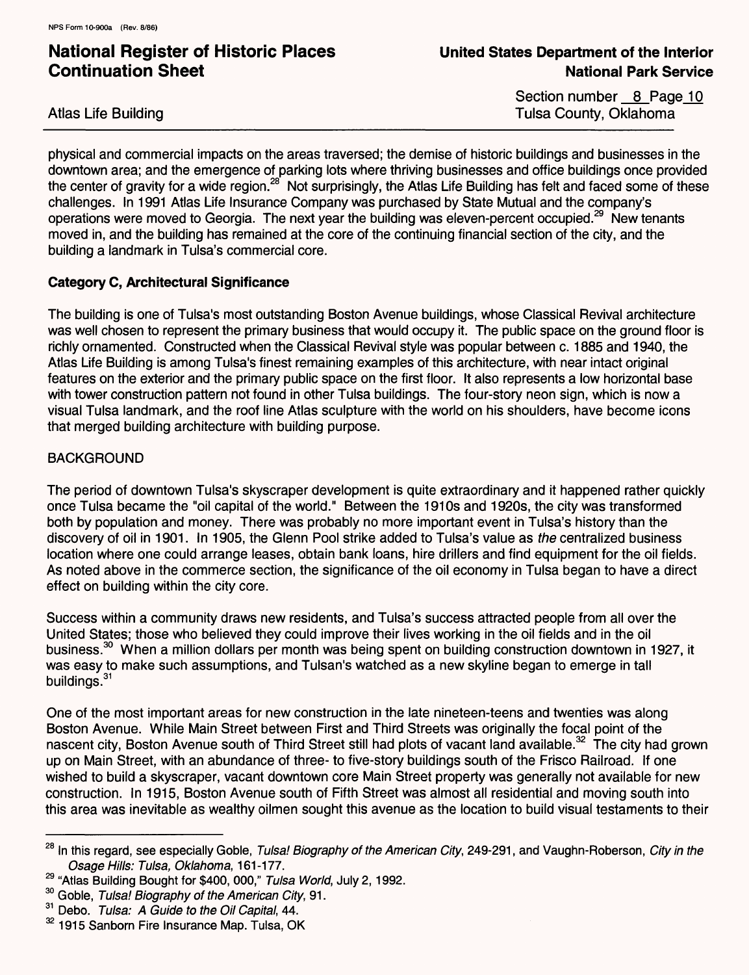Atlas Life Building

Section number 8 Page 10 Tulsa County, Oklahoma

physical and commercial impacts on the areas traversed; the demise of historic buildings and businesses in the downtown area; and the emergence of parking lots where thriving businesses and office buildings once provided the center of gravity for a wide region.<sup>28</sup> Not surprisingly, the Atlas Life Building has felt and faced some of these challenges. In 1991 Atlas Life Insurance Company was purchased by State Mutual and the company's operations were moved to Georgia. The next year the building was eleven-percent occupied.<sup>29</sup> New tenants moved in, and the building has remained at the core of the continuing financial section of the city, and the building a landmark in Tulsa's commercial core.

### **Category C, Architectural Significance**

The building is one of Tulsa's most outstanding Boston Avenue buildings, whose Classical Revival architecture was well chosen to represent the primary business that would occupy it. The public space on the ground floor is richly ornamented. Constructed when the Classical Revival style was popular between c. 1885 and 1940, the Atlas Life Building is among Tulsa's finest remaining examples of this architecture, with near intact original features on the exterior and the primary public space on the first floor. It also represents a low horizontal base with tower construction pattern not found in other Tulsa buildings. The four-story neon sign, which is now a visual Tulsa landmark, and the roof line Atlas sculpture with the world on his shoulders, have become icons that merged building architecture with building purpose.

### **BACKGROUND**

The period of downtown Tulsa's skyscraper development is quite extraordinary and it happened rather quickly once Tulsa became the "oil capital of the world." Between the 1910s and 1920s, the city was transformed both by population and money. There was probably no more important event in Tulsa's history than the discovery of oil in 1901. In 1905, the Glenn Pool strike added to Tulsa's value as the centralized business location where one could arrange leases, obtain bank loans, hire drillers and find equipment for the oil fields. As noted above in the commerce section, the significance of the oil economy in Tulsa began to have a direct effect on building within the city core.

Success within a community draws new residents, and Tulsa's success attracted people from all over the United States; those who believed they could improve their lives working in the oil fields and in the oil business.<sup>30</sup> When a million dollars per month was being spent on building construction downtown in 1927, it was easy to make such assumptions, and Tulsan's watched as a new skyline began to emerge in tall buildings.<sup>31</sup>

One of the most important areas for new construction in the late nineteen-teens and twenties was along Boston Avenue. While Main Street between First and Third Streets was originally the focal point of the nascent city, Boston Avenue south of Third Street still had plots of vacant land available.<sup>32</sup> The city had grown up on Main Street, with an abundance of three- to five-story buildings south of the Frisco Railroad. If one wished to build a skyscraper, vacant downtown core Main Street property was generally not available for new construction. In 1915, Boston Avenue south of Fifth Street was almost all residential and moving south into this area was inevitable as wealthy oilmen sought this avenue as the location to build visual testaments to their

<sup>&</sup>lt;sup>28</sup> In this regard, see especially Goble, Tulsa! Biography of the American City, 249-291, and Vaughn-Roberson, City in the Osage Hills: Tulsa, Oklahoma, 161-177.

<sup>&</sup>lt;sup>29</sup> "Atlas Building Bought for \$400, 000," Tulsa World, July 2, 1992.

<sup>&</sup>lt;sup>30</sup> Goble, Tulsa! Biography of the American City, 91.

<sup>31</sup> Debo. Tulsa: A Guide to the Oil Capital, 44.

<sup>&</sup>lt;sup>32</sup> 1915 Sanborn Fire Insurance Map. Tulsa, OK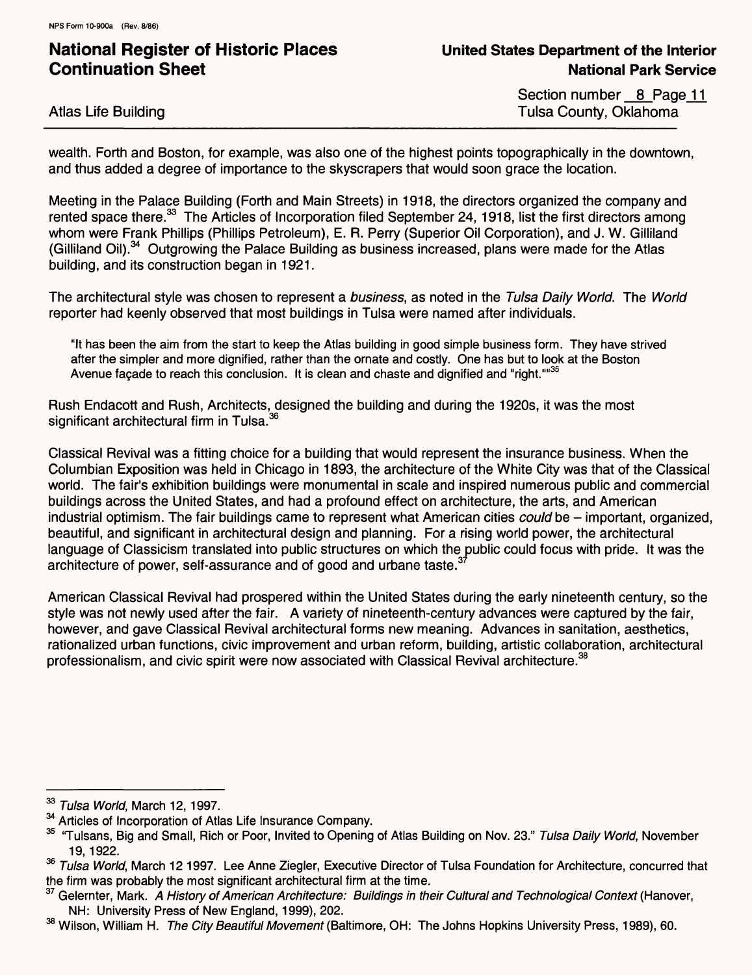Atlas Life Building

Section number 8 Page 11 Tulsa County, Oklahoma

wealth. Forth and Boston, for example, was also one of the highest points topographically in the downtown, and thus added a degree of importance to the skyscrapers that would soon grace the location.

Meeting in the Palace Building (Forth and Main Streets) in 1918, the directors organized the company and rented space there.<sup>33</sup> The Articles of Incorporation filed September 24, 1918, list the first directors among whom were Frank Phillips (Phillips Petroleum), E. R. Perry (Superior Oil Corporation), and J. W. Gilliland (Gilliland Oil).34 Outgrowing the Palace Building as business increased, plans were made for the Atlas building, and its construction began in 1921.

The architectural style was chosen to represent a business, as noted in the Tulsa Daily World. The World reporter had keenly observed that most buildings in Tulsa were named after individuals.

"It has been the aim from the start to keep the Atlas building in good simple business form. They have strived after the simpler and more dignified, rather than the ornate and costly. One has but to look at the Boston Avenue façade to reach this conclusion. It is clean and chaste and dignified and "right.""<sup>35</sup>

Rush Endacott and Rush, Architects, designed the building and during the 1920s, it was the most significant architectural firm in Tulsa.<sup>36</sup>

Classical Revival was a fitting choice for a building that would represent the insurance business. When the Columbian Exposition was held in Chicago in 1893, the architecture of the White City was that of the Classical world. The fair's exhibition buildings were monumental in scale and inspired numerous public and commercial buildings across the United States, and had a profound effect on architecture, the arts, and American industrial optimism. The fair buildings came to represent what American cities *could* be  $-$  important, organized, beautiful, and significant in architectural design and planning. For a rising world power, the architectural language of Classicism translated into public structures on which the public could focus with pride. It was the architecture of power, self-assurance and of good and urbane taste.<sup>3</sup>

American Classical Revival had prospered within the United States during the early nineteenth century, so the style was not newly used after the fair. A variety of nineteenth-century advances were captured by the fair, however, and gave Classical Revival architectural forms new meaning. Advances in sanitation, aesthetics, rationalized urban functions, civic improvement and urban reform, building, artistic collaboration, architectural professionalism, and civic spirit were now associated with Classical Revival architecture.<sup>38</sup>

**<sup>33</sup>** Tulsa World, March 12, 1997.

<sup>&</sup>lt;sup>34</sup> Articles of Incorporation of Atlas Life Insurance Company.

<sup>&</sup>lt;sup>35</sup> "Tulsans, Big and Small, Rich or Poor, Invited to Opening of Atlas Building on Nov. 23." Tulsa Daily World, November 19,1922.

<sup>&</sup>lt;sup>36</sup> Tulsa World, March 12 1997. Lee Anne Ziegler, Executive Director of Tulsa Foundation for Architecture, concurred that the firm was probably the most significant architectural firm at the time.

Gelernter, Mark. A History of American Architecture: Buildings in their Cultural and Technological Context (Hanover, NH: University Press of New England, 1999), 202.

<sup>&</sup>lt;sup>38</sup> Wilson, William H. The City Beautiful Movement (Baltimore, OH: The Johns Hopkins University Press, 1989), 60.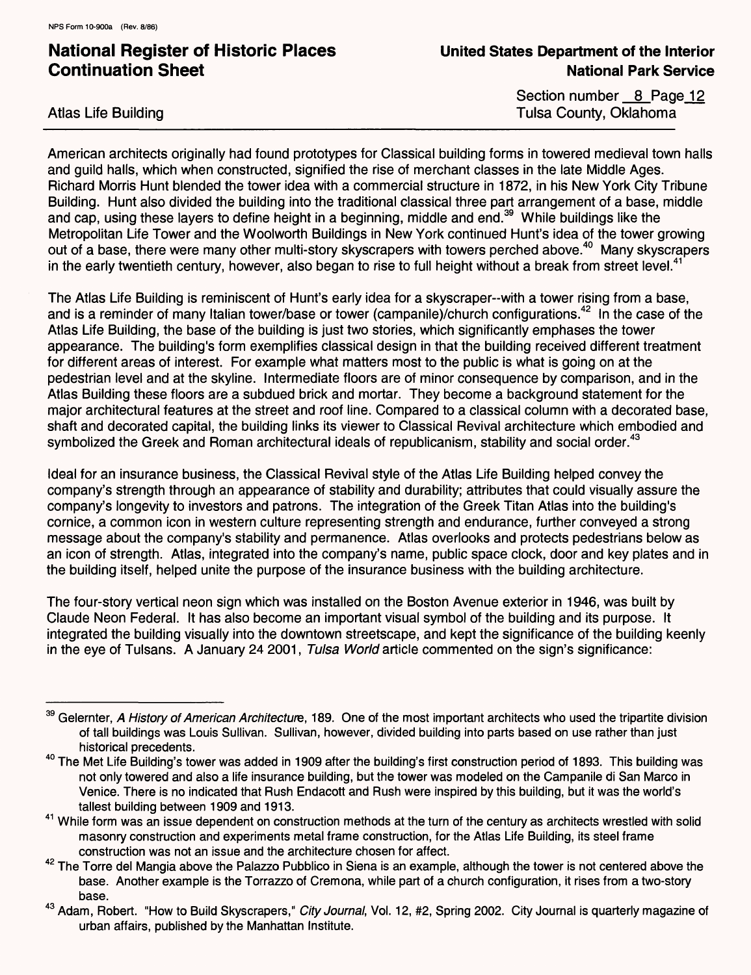Atlas Life Building

Section number 8 Page 12 Tulsa County, Oklahoma

American architects originally had found prototypes for Classical building forms in towered medieval town halls and guild halls, which when constructed, signified the rise of merchant classes in the late Middle Ages. Richard Morris Hunt blended the tower idea with a commercial structure in 1872, in his New York City Tribune Building. Hunt also divided the building into the traditional classical three part arrangement of a base, middle and cap, using these layers to define height in a beginning, middle and end.<sup>39</sup> While buildings like the Metropolitan Life Tower and the Woolworth Buildings in New York continued Hunt's idea of the tower growing out of a base, there were many other multi-story skyscrapers with towers perched above.<sup>40</sup> Many skyscrapers in the early twentieth century, however, also began to rise to full height without a break from street level. $41$ 

The Atlas Life Building is reminiscent of Hunt's early idea for a skyscraper-with a tower rising from a base, and is a reminder of many Italian tower/base or tower (campanile)/church configurations.<sup>42</sup> In the case of the Atlas Life Building, the base of the building is just two stories, which significantly emphases the tower appearance. The building's form exemplifies classical design in that the building received different treatment for different areas of interest. For example what matters most to the public is what is going on at the pedestrian level and at the skyline. Intermediate floors are of minor consequence by comparison, and in the Atlas Building these floors are a subdued brick and mortar. They become a background statement for the major architectural features at the street and roof line. Compared to a classical column with a decorated base, shaft and decorated capital, the building links its viewer to Classical Revival architecture which embodied and symbolized the Greek and Roman architectural ideals of republicanism, stability and social order.<sup>43</sup>

Ideal for an insurance business, the Classical Revival style of the Atlas Life Building helped convey the company's strength through an appearance of stability and durability; attributes that could visually assure the company's longevity to investors and patrons. The integration of the Greek Titan Atlas into the building's cornice, a common icon in western culture representing strength and endurance, further conveyed a strong message about the company's stability and permanence. Atlas overlooks and protects pedestrians below as an icon of strength. Atlas, integrated into the company's name, public space clock, door and key plates and in the building itself, helped unite the purpose of the insurance business with the building architecture.

The four-story vertical neon sign which was installed on the Boston Avenue exterior in 1946, was built by Claude Neon Federal. It has also become an important visual symbol of the building and its purpose. It integrated the building visually into the downtown streetscape, and kept the significance of the building keenly in the eye of Tulsans. A January 24 2001, Tulsa World article commented on the sign's significance:

<sup>&</sup>lt;sup>39</sup> Gelernter. A History of American Architecture, 189. One of the most important architects who used the tripartite division of tall buildings was Louis Sullivan. Sullivan, however, divided building into parts based on use rather than just historical precedents.

<sup>&</sup>lt;sup>40</sup> The Met Life Building's tower was added in 1909 after the building's first construction period of 1893. This building was not only towered and also a life insurance building, but the tower was modeled on the Campanile di San Marco in Venice. There is no indicated that Rush Endacott and Rush were inspired by this building, but it was the world's tallest building between 1909 and 1913.

<sup>&</sup>lt;sup>41</sup> While form was an issue dependent on construction methods at the turn of the century as architects wrestled with solid masonry construction and experiments metal frame construction, for the Atlas Life Building, its steel frame construction was not an issue and the architecture chosen for affect.

<sup>&</sup>lt;sup>42</sup> The Torre del Mangia above the Palazzo Pubblico in Siena is an example, although the tower is not centered above the base. Another example is the Torrazzo of Cremona, while part of a church configuration, it rises from a two-story base.

<sup>&</sup>lt;sup>43</sup> Adam. Robert. "How to Build Skyscrapers," City Journal, Vol. 12, #2, Spring 2002. City Journal is quarterly magazine of urban affairs, published by the Manhattan Institute.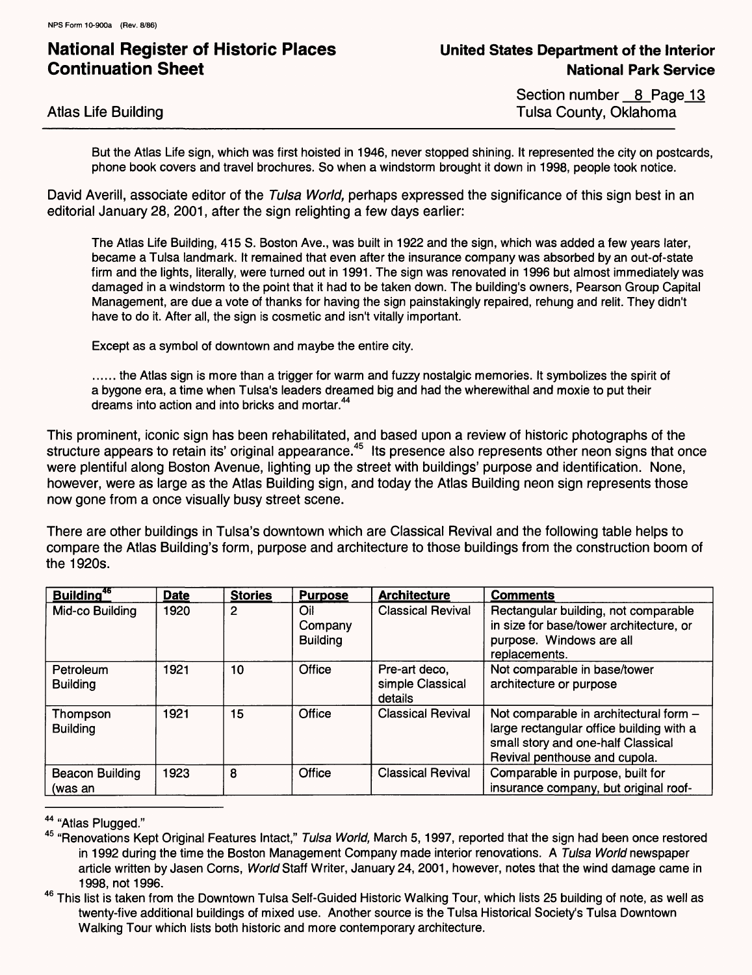Section number 8 Page 13 Tulsa County, Oklahoma

But the Atlas Life sign, which was first hoisted in 1946, never stopped shining. It represented the city on postcards, phone book covers and travel brochures. So when a windstorm brought it down in 1998, people took notice.

David Averill, associate editor of the Tulsa World, perhaps expressed the significance of this sign best in an editorial January 28, 2001, after the sign relighting a few days earlier:

The Atlas Life Building, 415 S. Boston Ave., was built in 1922 and the sign, which was added a few years later, became a Tulsa landmark. It remained that even after the insurance company was absorbed by an out-of-state firm and the lights, literally, were turned out in 1991. The sign was renovated in 1996 but almost immediately was damaged in a windstorm to the point that it had to be taken down. The building's owners, Pearson Group Capital Management, are due a vote of thanks for having the sign painstakingly repaired, rehung and relit. They didn't have to do it. After all, the sign is cosmetic and isn't vitally important.

Except as a symbol of downtown and maybe the entire city.

...... the Atlas sign is more than a trigger for warm and fuzzy nostalgic memories. It symbolizes the spirit of a bygone era, a time when Tulsa's leaders dreamed big and had the wherewithal and moxie to put their dreams into action and into bricks and mortar.<sup>44</sup>

This prominent, iconic sign has been rehabilitated, and based upon a review of historic photographs of the structure appears to retain its' original appearance.<sup>45</sup> Its presence also represents other neon signs that once were plentiful along Boston Avenue, lighting up the street with buildings' purpose and identification. None, however, were as large as the Atlas Building sign, and today the Atlas Building neon sign represents those now gone from a once visually busy street scene.

There are other buildings in Tulsa's downtown which are Classical Revival and the following table helps to compare the Atlas Building's form, purpose and architecture to those buildings from the construction boom of the 1920s.

| Building <sup>46</sup>            | <b>Date</b> | <b>Stories</b> | <b>Purpose</b>                    | <b>Architecture</b>                          | <b>Comments</b>                                                                                                                                           |
|-----------------------------------|-------------|----------------|-----------------------------------|----------------------------------------------|-----------------------------------------------------------------------------------------------------------------------------------------------------------|
| Mid-co Building                   | 1920        | 2              | Oil<br>Company<br><b>Building</b> | <b>Classical Revival</b>                     | Rectangular building, not comparable<br>in size for base/tower architecture, or<br>purpose. Windows are all<br>replacements.                              |
| Petroleum<br><b>Building</b>      | 1921        | 10             | Office                            | Pre-art deco.<br>simple Classical<br>details | Not comparable in base/tower<br>architecture or purpose                                                                                                   |
| Thompson<br><b>Building</b>       | 1921        | 15             | Office                            | <b>Classical Revival</b>                     | Not comparable in architectural form -<br>large rectangular office building with a<br>small story and one-half Classical<br>Revival penthouse and cupola. |
| <b>Beacon Building</b><br>(was an | 1923        | 8              | Office                            | <b>Classical Revival</b>                     | Comparable in purpose, built for<br>insurance company, but original roof-                                                                                 |

44 "Atlas Plugged."

45 "Renovations Kept Original Features Intact," Tulsa World, March 5, 1997, reported that the sign had been once restored in 1992 during the time the Boston Management Company made interior renovations. A Tulsa World newspaper article written by Jasen Corns, World Staff Writer, January 24, 2001, however, notes that the wind damage came in 1998, not 1996.

<sup>46</sup> This list is taken from the Downtown Tulsa Self-Guided Historic Walking Tour, which lists 25 building of note, as well as twenty-five additional buildings of mixed use. Another source is the Tulsa Historical Society's Tulsa Downtown Walking Tour which lists both historic and more contemporary architecture.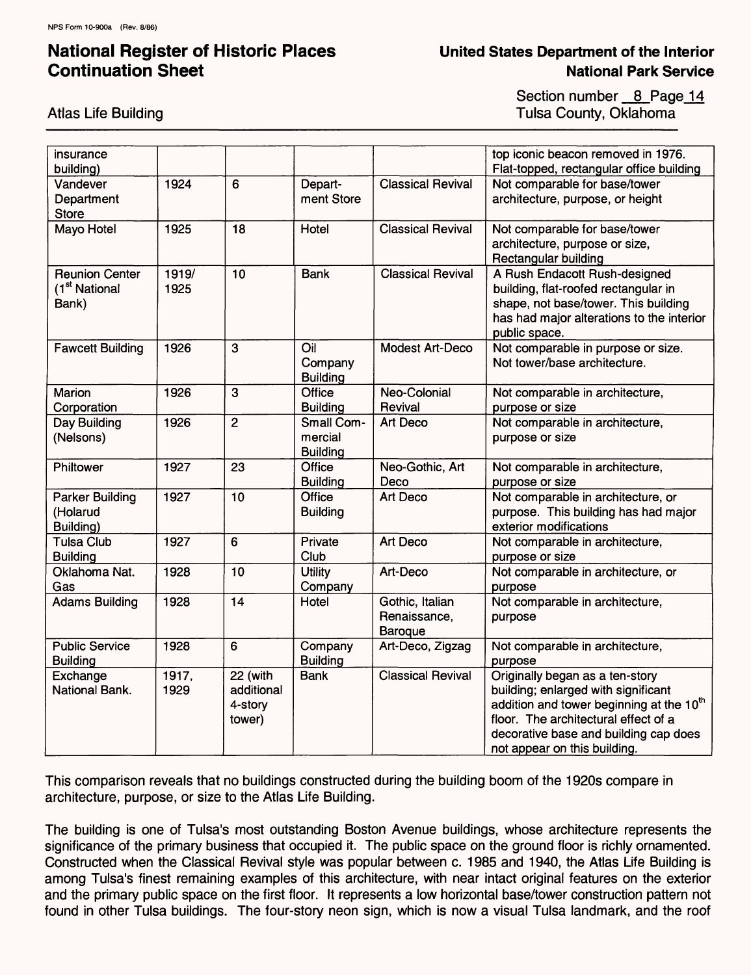### **United States Department of the Interior National Park Service**

Section number 8 Page 14 Tulsa County, Oklahoma

| insurance<br>building)                                      |               |                                             |                                          |                                            | top iconic beacon removed in 1976.<br>Flat-topped, rectangular office building                                                                                                                                                                  |
|-------------------------------------------------------------|---------------|---------------------------------------------|------------------------------------------|--------------------------------------------|-------------------------------------------------------------------------------------------------------------------------------------------------------------------------------------------------------------------------------------------------|
| Vandever<br>Department<br><b>Store</b>                      | 1924          | 6                                           | Depart-<br>ment Store                    | <b>Classical Revival</b>                   | Not comparable for base/tower<br>architecture, purpose, or height                                                                                                                                                                               |
| Mayo Hotel                                                  | 1925          | 18                                          | Hotel                                    | <b>Classical Revival</b>                   | Not comparable for base/tower<br>architecture, purpose or size,<br>Rectangular building                                                                                                                                                         |
| <b>Reunion Center</b><br>(1 <sup>st</sup> National<br>Bank) | 1919/<br>1925 | 10                                          | <b>Bank</b>                              | <b>Classical Revival</b>                   | A Rush Endacott Rush-designed<br>building, flat-roofed rectangular in<br>shape, not base/tower. This building<br>has had major alterations to the interior<br>public space.                                                                     |
| <b>Fawcett Building</b>                                     | 1926          | 3                                           | Oil<br>Company<br><b>Building</b>        | Modest Art-Deco                            | Not comparable in purpose or size.<br>Not tower/base architecture.                                                                                                                                                                              |
| Marion<br>Corporation                                       | 1926          | 3                                           | Office<br><b>Building</b>                | Neo-Colonial<br>Revival                    | Not comparable in architecture,<br>purpose or size                                                                                                                                                                                              |
| Day Building<br>(Nelsons)                                   | 1926          | $\overline{2}$                              | Small Com-<br>mercial<br><b>Building</b> | Art Deco                                   | Not comparable in architecture,<br>purpose or size                                                                                                                                                                                              |
| Philtower                                                   | 1927          | 23                                          | Office<br><b>Building</b>                | Neo-Gothic, Art<br>Deco                    | Not comparable in architecture,<br>purpose or size                                                                                                                                                                                              |
| <b>Parker Building</b><br>(Holarud<br>Building)             | 1927          | 10                                          | Office<br><b>Building</b>                | Art Deco                                   | Not comparable in architecture, or<br>purpose. This building has had major<br>exterior modifications                                                                                                                                            |
| <b>Tulsa Club</b><br><b>Building</b>                        | 1927          | 6                                           | Private<br>Club                          | Art Deco                                   | Not comparable in architecture,<br>purpose or size                                                                                                                                                                                              |
| Oklahoma Nat.<br>Gas                                        | 1928          | 10                                          | <b>Utility</b><br>Company                | Art-Deco                                   | Not comparable in architecture, or<br>purpose                                                                                                                                                                                                   |
| <b>Adams Building</b>                                       | 1928          | 14                                          | Hotel                                    | Gothic, Italian<br>Renaissance,<br>Baroque | Not comparable in architecture,<br>purpose                                                                                                                                                                                                      |
| <b>Public Service</b><br><b>Building</b>                    | 1928          | 6                                           | Company<br><b>Building</b>               | Art-Deco, Zigzag                           | Not comparable in architecture,<br>purpose                                                                                                                                                                                                      |
| Exchange<br>National Bank.                                  | 1917,<br>1929 | 22 (with<br>additional<br>4-story<br>tower) | <b>Bank</b>                              | <b>Classical Revival</b>                   | Originally began as a ten-story<br>building; enlarged with significant<br>addition and tower beginning at the 10 <sup>th</sup><br>floor. The architectural effect of a<br>decorative base and building cap does<br>not appear on this building. |

This comparison reveals that no buildings constructed during the building boom of the 1920s compare in architecture, purpose, or size to the Atlas Life Building.

The building is one of Tulsa's most outstanding Boston Avenue buildings, whose architecture represents the significance of the primary business that occupied it. The public space on the ground floor is richly ornamented. Constructed when the Classical Revival style was popular between c. 1985 and 1940, the Atlas Life Building is among Tulsa's finest remaining examples of this architecture, with near intact original features on the exterior and the primary public space on the first floor. It represents a low horizontal base/tower construction pattern not found in other Tulsa buildings. The four-story neon sign, which is now a visual Tulsa landmark, and the roof

Atlas Life Building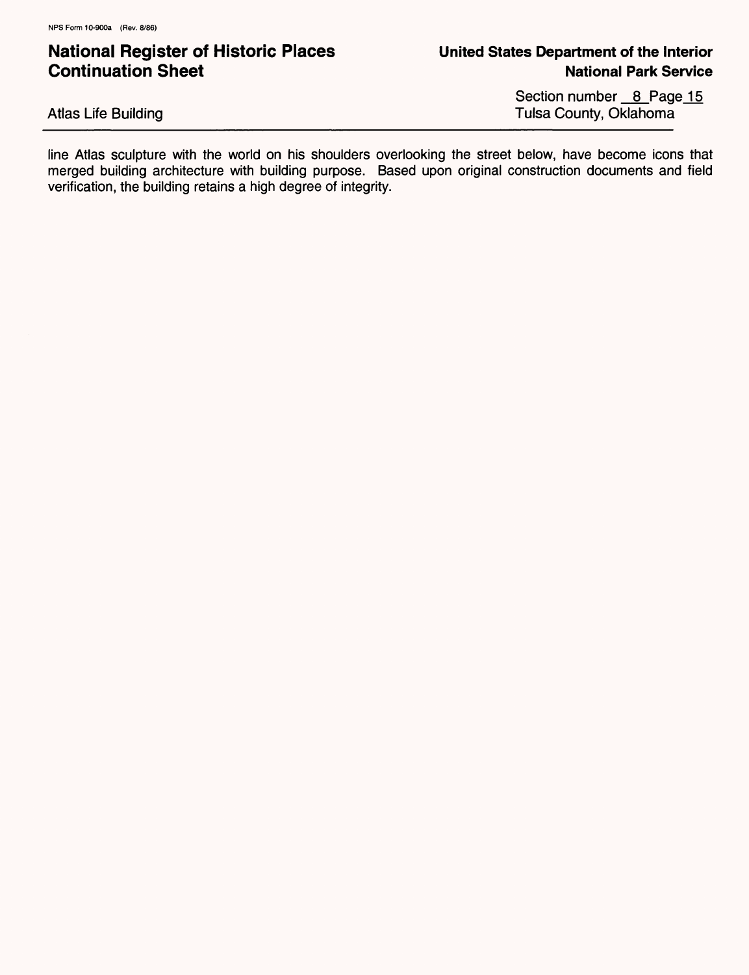Atlas Life Building

Section number \_8\_Page\_15 Tulsa County, Oklahoma

line Atlas sculpture with the world on his shoulders overlooking the street below, have become icons that merged building architecture with building purpose. Based upon original construction documents and field verification, the building retains a high degree of integrity.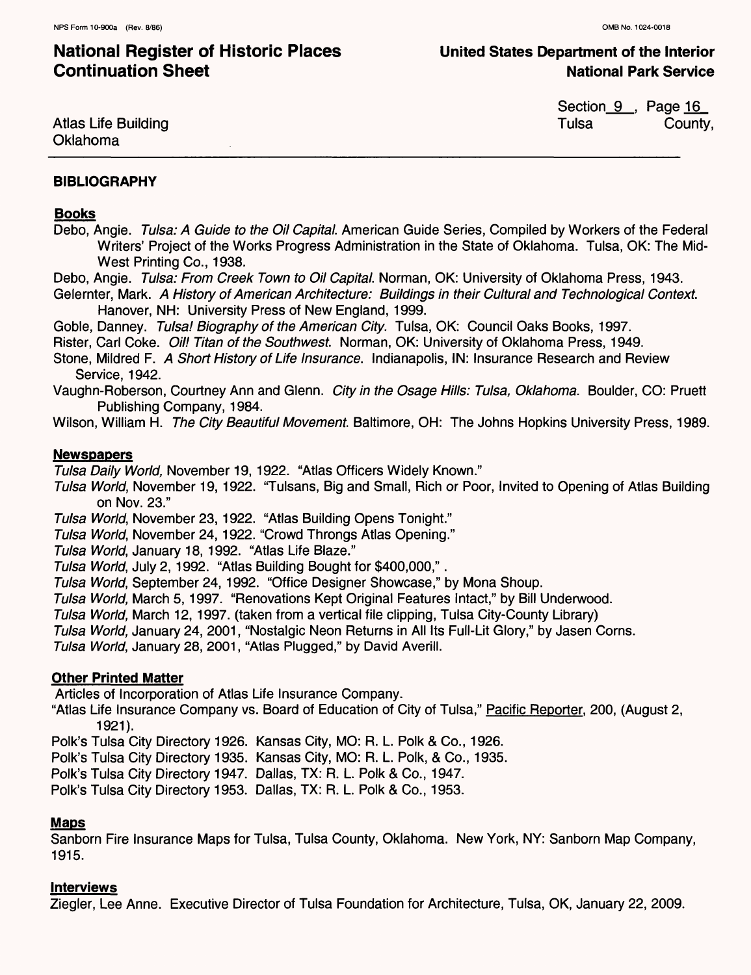**United States Department of the Interior National Park Service**

Atlas Life Building Oklahoma

Section\_9\_, Page <u>16</u> Tulsa County,

#### **BIBLIOGRAPHY**

#### **Books**

- Debo, Angie. Tulsa: A Guide to the Oil Capital. American Guide Series, Compiled by Workers of the Federal Writers' Project of the Works Progress Administration in the State of Oklahoma. Tulsa, OK: The Mid-West Printing Co., 1938.
- Debo, Angie. Tulsa: From Creek Town to Oil Capital. Norman, OK: University of Oklahoma Press, 1943.
- Gelernter, Mark. A History of American Architecture: Buildings in their Cultural and Technological Context. Hanover, NH: University Press of New England, 1999.

Goble, Danney. Tulsa! Biography of the American City. Tulsa, OK: Council Oaks Books, 1997.

Rister, Carl Coke. Oil! Titan of the Southwest. Norman, OK: University of Oklahoma Press, 1949.

- Stone, Mildred F. A Short History of Life Insurance. Indianapolis, IN: Insurance Research and Review Service, 1942.
- Vaughn-Roberson, Courtney Ann and Glenn. City in the Osage Hills: Tulsa, Oklahoma. Boulder, CO: Pruett Publishing Company, 1984.

Wilson, William H. The City Beautiful Movement. Baltimore, OH: The Johns Hopkins University Press, 1989.

#### **Newspapers**

Tulsa Daily World, November 19, 1922. "Atlas Officers Widely Known."

- Tulsa World, November 19, 1922. "Tulsans, Big and Small, Rich or Poor, Invited to Opening of Atlas Building on Nov. 23."
- Tulsa World, November 23,1922. "Atlas Building Opens Tonight."
- Tulsa World, November 24, 1922. "Crowd Throngs Atlas Opening."

Tulsa World, January 18, 1992. "Atlas Life Blaze."

- Tulsa World, July 2,1992. "Atlas Building Bought for \$400,000,".
- Tulsa World, September 24,1992. "Office Designer Showcase," by Mona Shoup.
- Tulsa World, March 5,1997. "Renovations Kept Original Features Intact," by Bill Underwood.
- Tulsa World, March 12,1997. (taken from a vertical file clipping, Tulsa City-County Library)
- Tulsa World, January 24, 2001, "Nostalgic Neon Returns in All Its Full-Lit Glory," by Jasen Corns.

Tulsa World, January 28, 2001, "Atlas Plugged," by David Averill.

### **Other Printed Matter**

Articles of Incorporation of Atlas Life Insurance Company.

"Atlas Life Insurance Company vs. Board of Education of City of Tulsa," Pacific Reporter. 200, (August 2, 1921).

Polk's Tulsa City Directory 1926. Kansas City, MO: R. L. Polk & Co., 1926.

Polk's Tulsa City Directory 1935. Kansas City, MO: R. L. Polk, & Co., 1935.

Polk's Tulsa City Directory 1947. Dallas, TX: R. L. Polk & Co., 1947.

Polk's Tulsa City Directory 1953. Dallas, TX: R. L. Polk & Co., 1953.

#### **Maps**

Sanborn Fire Insurance Maps for Tulsa, Tulsa County, Oklahoma. New York, NY: Sanborn Map Company, 1915.

#### **Interviews**

Ziegler, Lee Anne. Executive Director of Tulsa Foundation for Architecture, Tulsa, OK, January 22, 2009.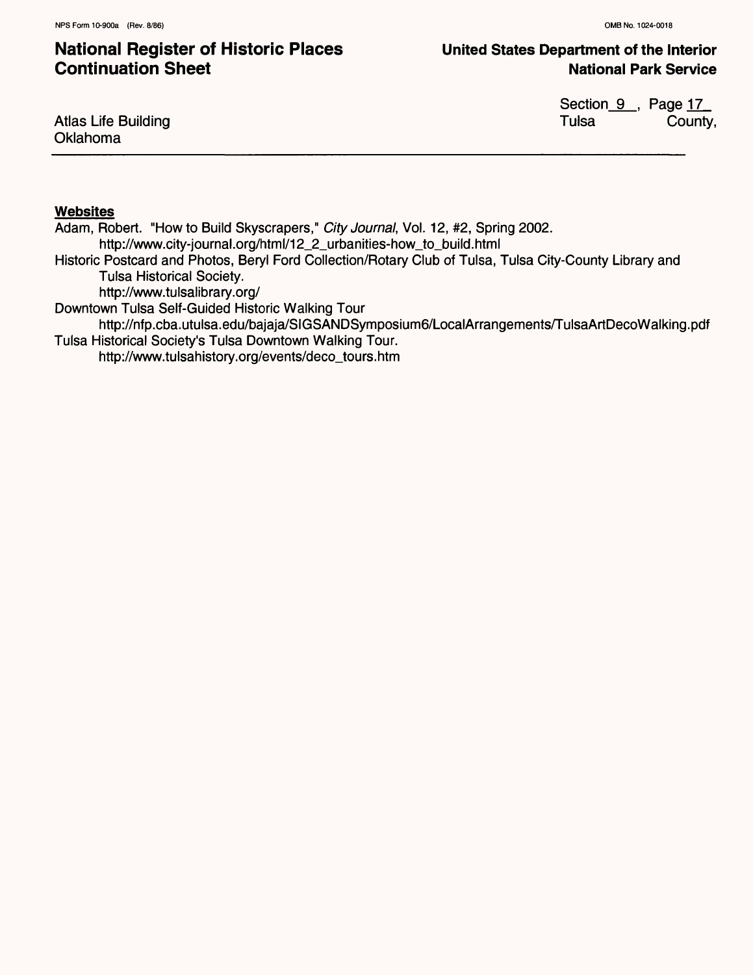### **United States Department of the Interior National Park Service**

Atlas Life Building Oklahoma

Section\_9\_, Page 17\_ Tulsa County,

#### **Websites**

Adam, Robert. "How to Build Skyscrapers," City Journal, Vol. 12, #2, Spring 2002. http://www.city-journal.0rg/html/12\_2\_urbanities-how\_to\_build.html Historic Postcard and Photos, Beryl Ford Collection/Rotary Club of Tulsa, Tulsa City-County Library and Tulsa Historical Society. http://www.tulsalibrary.org/ Downtown Tulsa Self-Guided Historic Walking Tour

http://nfp.cba.utulsa.edu/bajaja/SIGSANDSymposium6/LocalArrangements/TulsaArtDecoWalking.pdf Tulsa Historical Society's Tulsa Downtown Walking Tour.

http://www.tulsahistory.org/events/deco\_tours.htm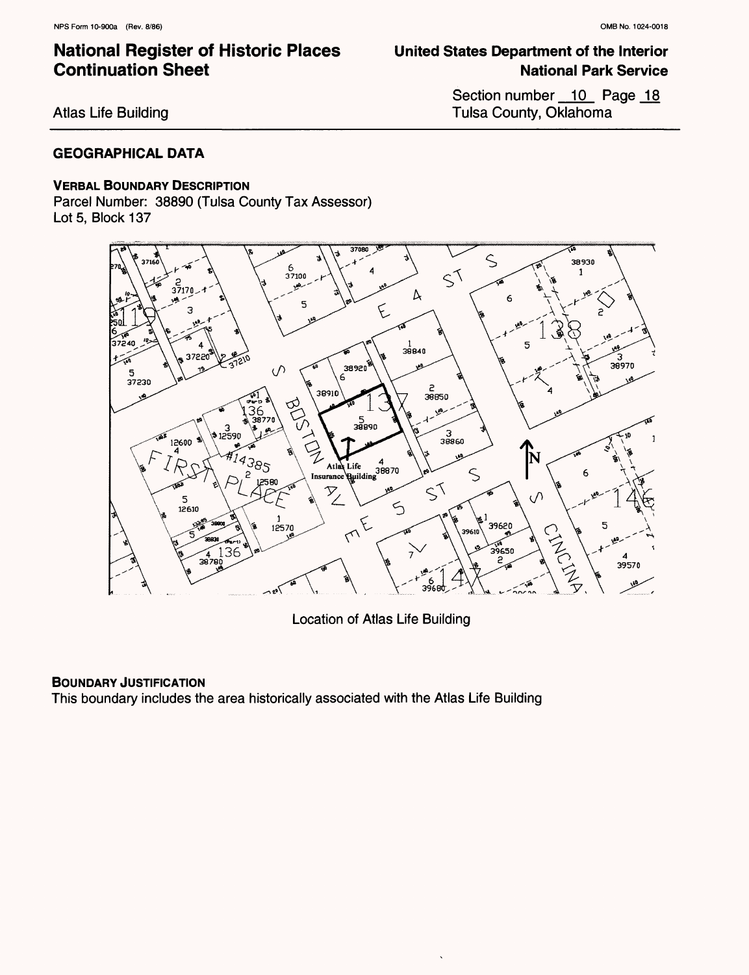Atlas Life Building

### **GEOGRAPHICAL DATA**

#### **VERBAL BOUNDARY DESCRIPTION**

Parcel Number: 38890 (Tulsa County Tax Assessor) Lot 5, Block 137



Location of Atlas Life Building

### **BOUNDARY JUSTIFICATION**

This boundary includes the area historically associated with the Atlas Life Building

# **National Park Service**

Section number \_\_ 10 Page \_ 18 Tulsa County, Oklahoma

**United States Department of the Interior**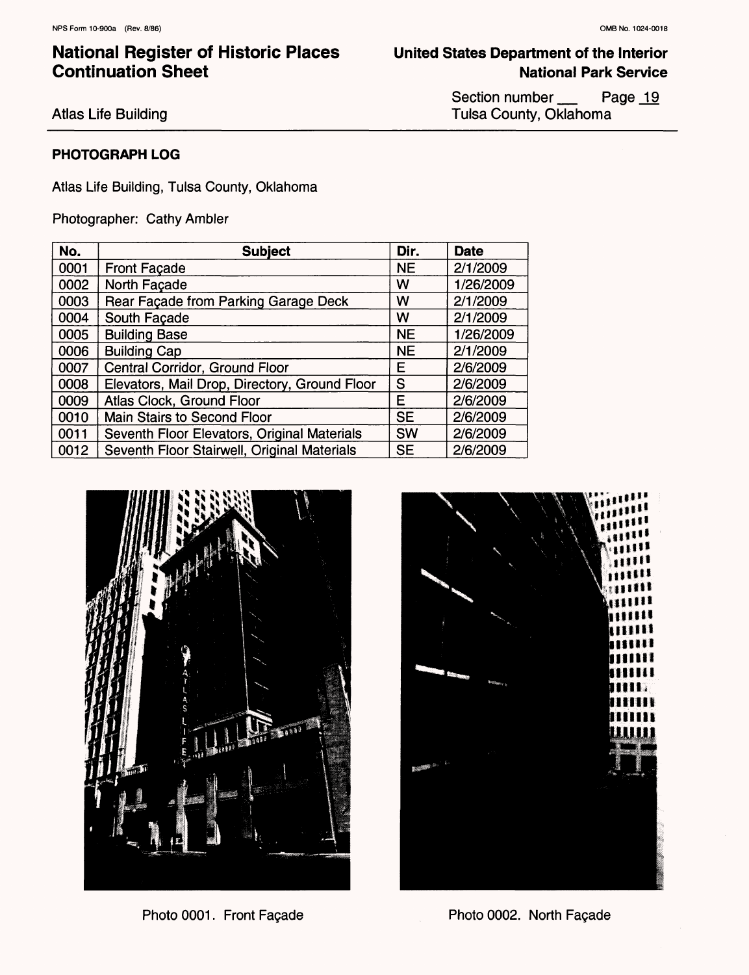### National Register of Historic Places **United States Department of the Interior**  Continuation Sheet

**National Park Service**

Atlas Life Building

Section number \_\_\_\_ Page 19 Tulsa County, Oklahoma

### **PHOTOGRAPH LOG**

Atlas Life Building, Tulsa County, Oklahoma

Photographer: Cathy Ambler

| No.  | <b>Subject</b>                                | Dir.      | <b>Date</b> |
|------|-----------------------------------------------|-----------|-------------|
| 0001 | <b>Front Façade</b>                           | <b>NE</b> | 2/1/2009    |
| 0002 | North Façade                                  | W         | 1/26/2009   |
| 0003 | Rear Façade from Parking Garage Deck          | W         | 2/1/2009    |
| 0004 | South Façade                                  | W         | 2/1/2009    |
| 0005 | <b>Building Base</b>                          | <b>NE</b> | 1/26/2009   |
| 0006 | <b>Building Cap</b>                           | <b>NE</b> | 2/1/2009    |
| 0007 | Central Corridor, Ground Floor                | Е         | 2/6/2009    |
| 0008 | Elevators, Mail Drop, Directory, Ground Floor | S         | 2/6/2009    |
| 0009 | Atlas Clock, Ground Floor                     | E         | 2/6/2009    |
| 0010 | <b>Main Stairs to Second Floor</b>            | <b>SE</b> | 2/6/2009    |
| 0011 | Seventh Floor Elevators, Original Materials   | <b>SW</b> | 2/6/2009    |
| 0012 | Seventh Floor Stairwell, Original Materials   | <b>SE</b> | 2/6/2009    |





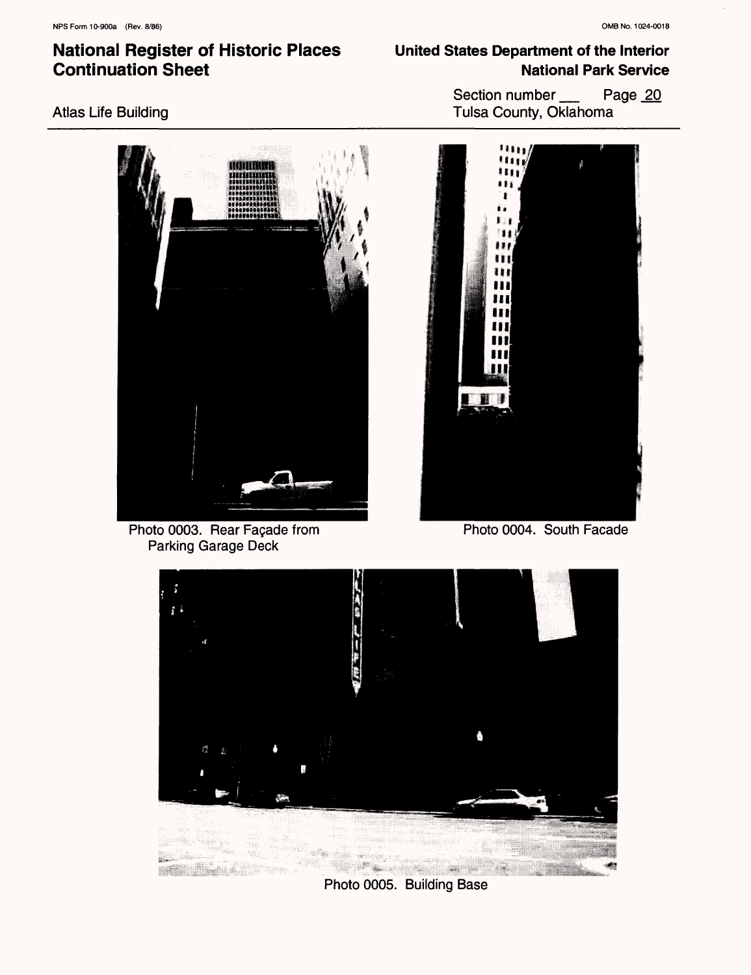### Atlas Life Building

Photo 0003. Rear Façade from

Parking Garage Deck

**United States Department of the Interior National Park Service**

> Section number Page 20 Tulsa County, Oklahoma



Photo 0004. South Facade



Photo 0005. Building Base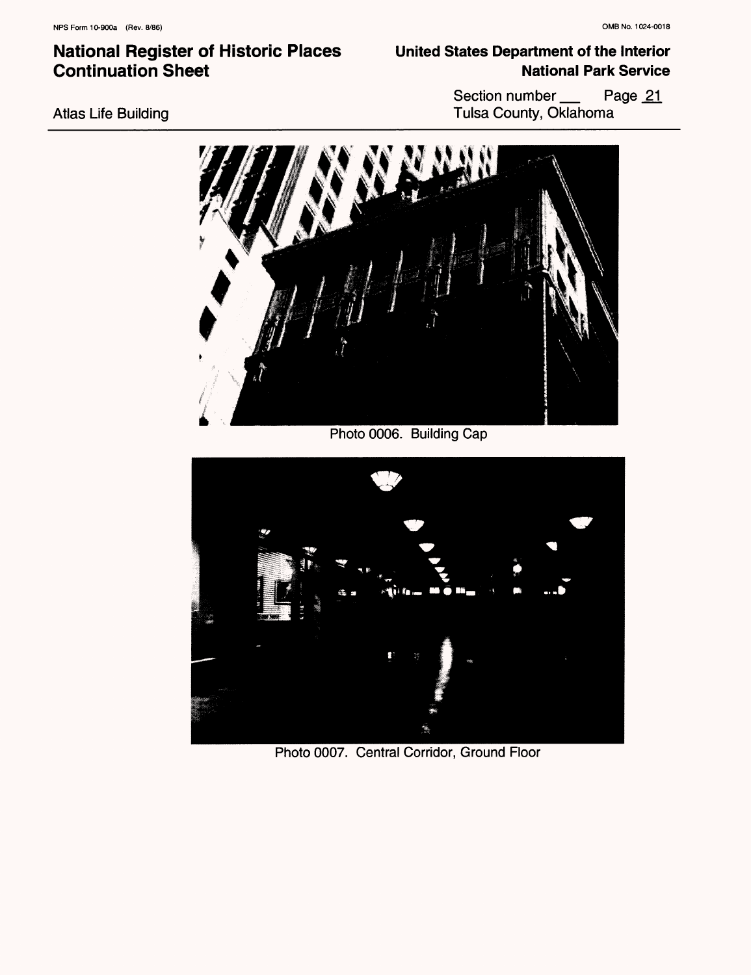### **United States Department of the Interior National Park Service**

Section number Page 21 Tulsa County, Oklahoma



Photo 0006. Building Cap



Photo 0007. Central Corridor, Ground Floor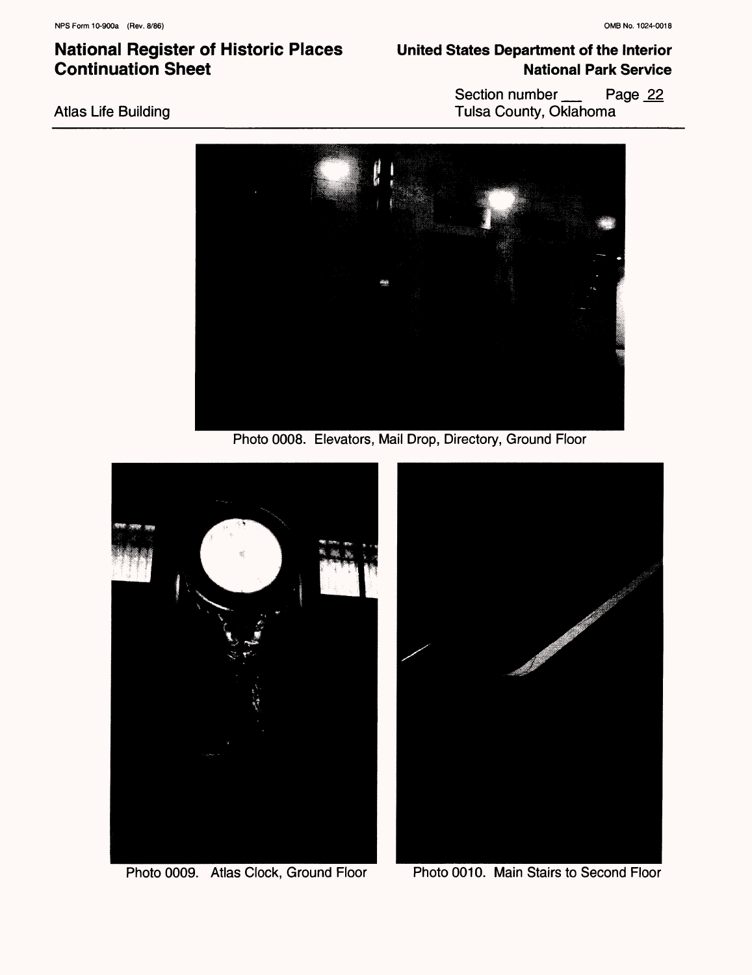Atlas Life Building

### **National Register of Historic Places Continuation Sheet**

### **United States Department of the Interior National Park Service**

Section number Page 22 Tulsa County, Oklahoma



Photo 0008. Elevators, Mail Drop, Directory, Ground Floor



Photo 0009. Atlas Clock, Ground Floor Photo 0010. Main Stairs to Second Floor

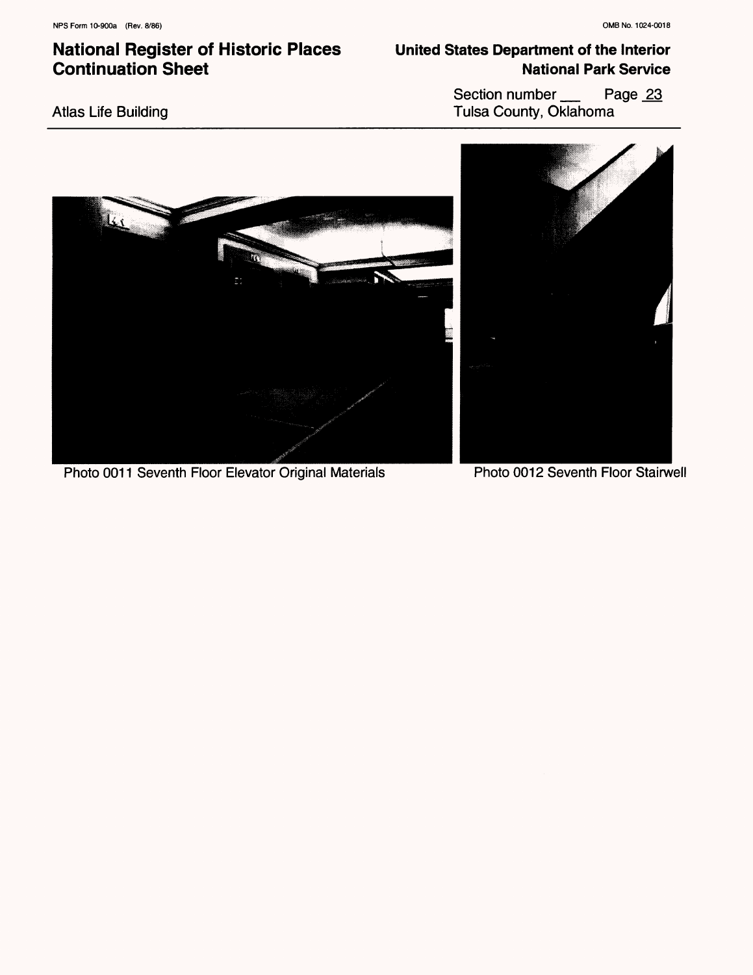### **United States Department of the Interior National Park Service**

Atlas Life Building

Section number Page 23 Tulsa County, Oklahoma



Photo 0011 Seventh Floor Elevator Original Materials Photo 0012 Seventh Floor Stairwell

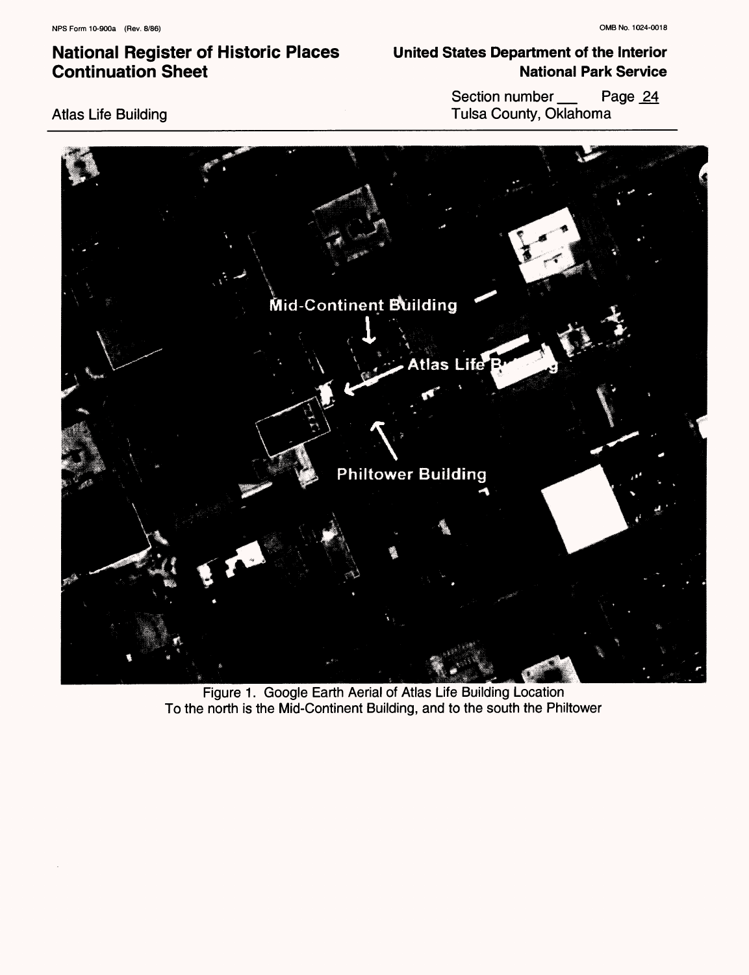### **United States Department of the Interior National Park Service**

Atlas Life Building





Figure 1. Google Earth Aerial of Atlas Life Building Location To the north is the Mid-Continent Building, and to the south the Philtower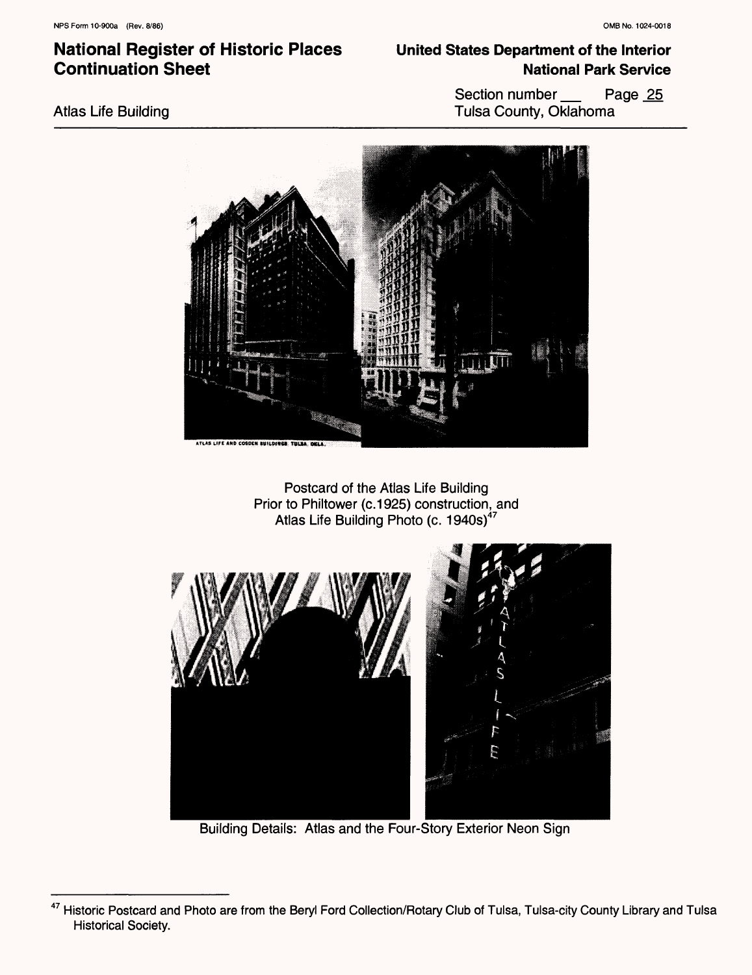### Atlas Life Building

### **United States Department of the Interior National Park Service**

Section number \_\_\_\_ Page 25 Tulsa County, Oklahoma



Postcard of the Atlas Life Building Prior to Philtower (c.1925) construction, and Atlas Life Building Photo (c. 1940s)<sup>47</sup>



Building Details: Atlas and the Four-Story Exterior Neon Sign

<sup>&</sup>lt;sup>47</sup> Historic Postcard and Photo are from the Beryl Ford Collection/Rotary Club of Tulsa, Tulsa-city County Library and Tulsa Historical Society.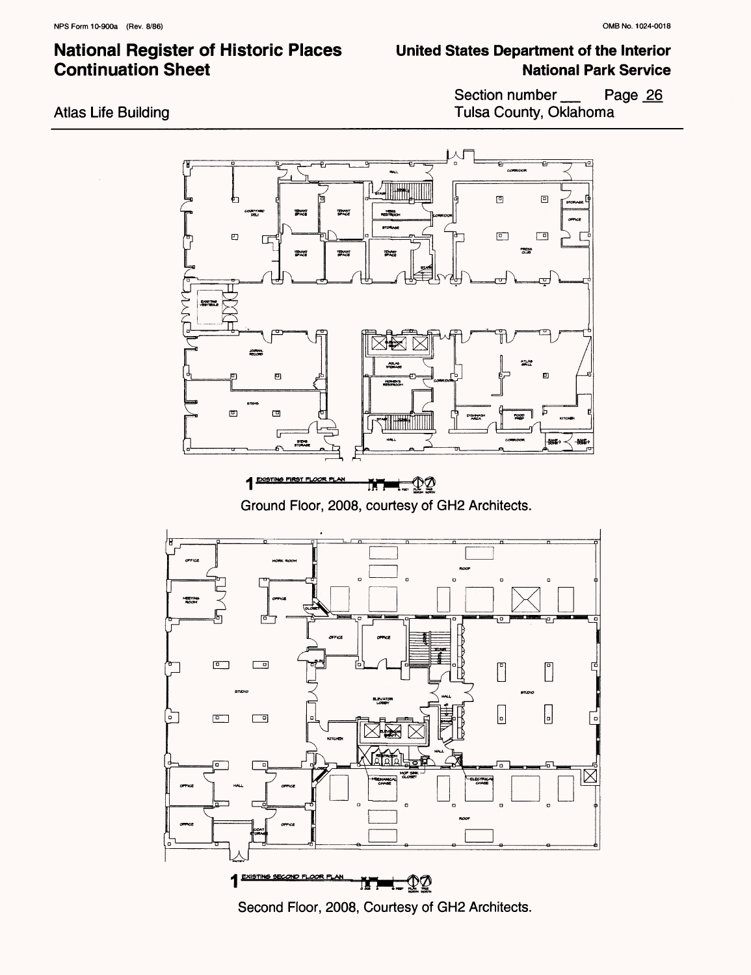### **United States Department of the Interior National Park Service**

Atlas Life Building

Section number Page 26 Tulsa County, Oklahoma



Second Floor, 2008, Courtesy of GH2 Architects.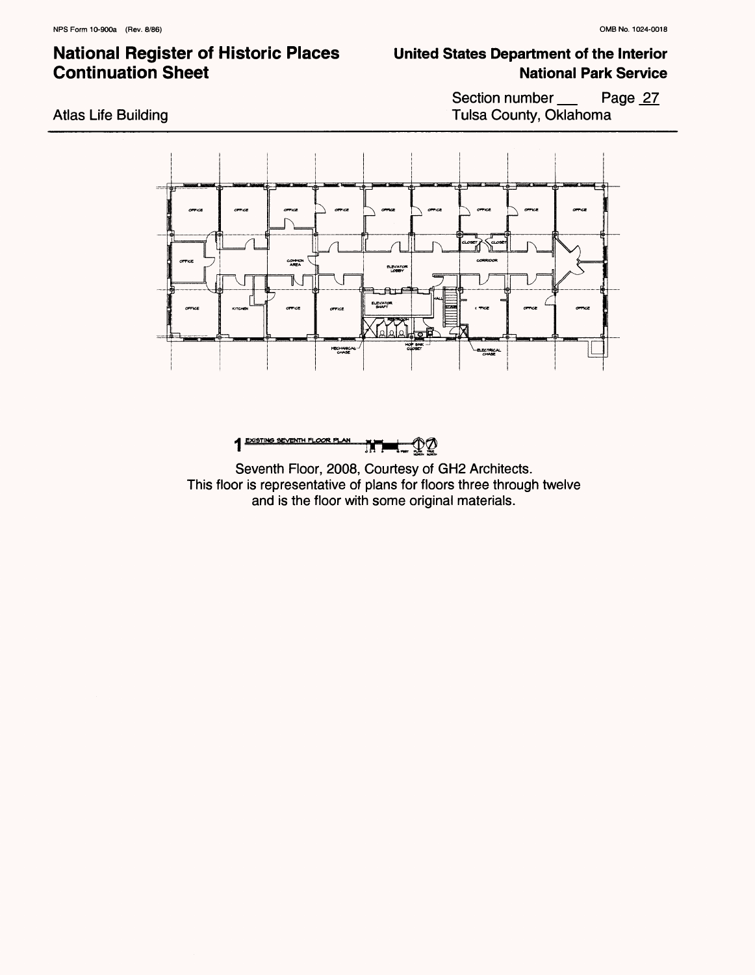### **United States Department of the Interior National Park Service**

Section number \_\_\_\_ Page 27 Tulsa County, Oklahoma





Seventh Floor, 2008, Courtesy of GH2 Architects. This floor is representative of plans for floors three through twelve and is the floor with some original materials.

Atlas Life Building